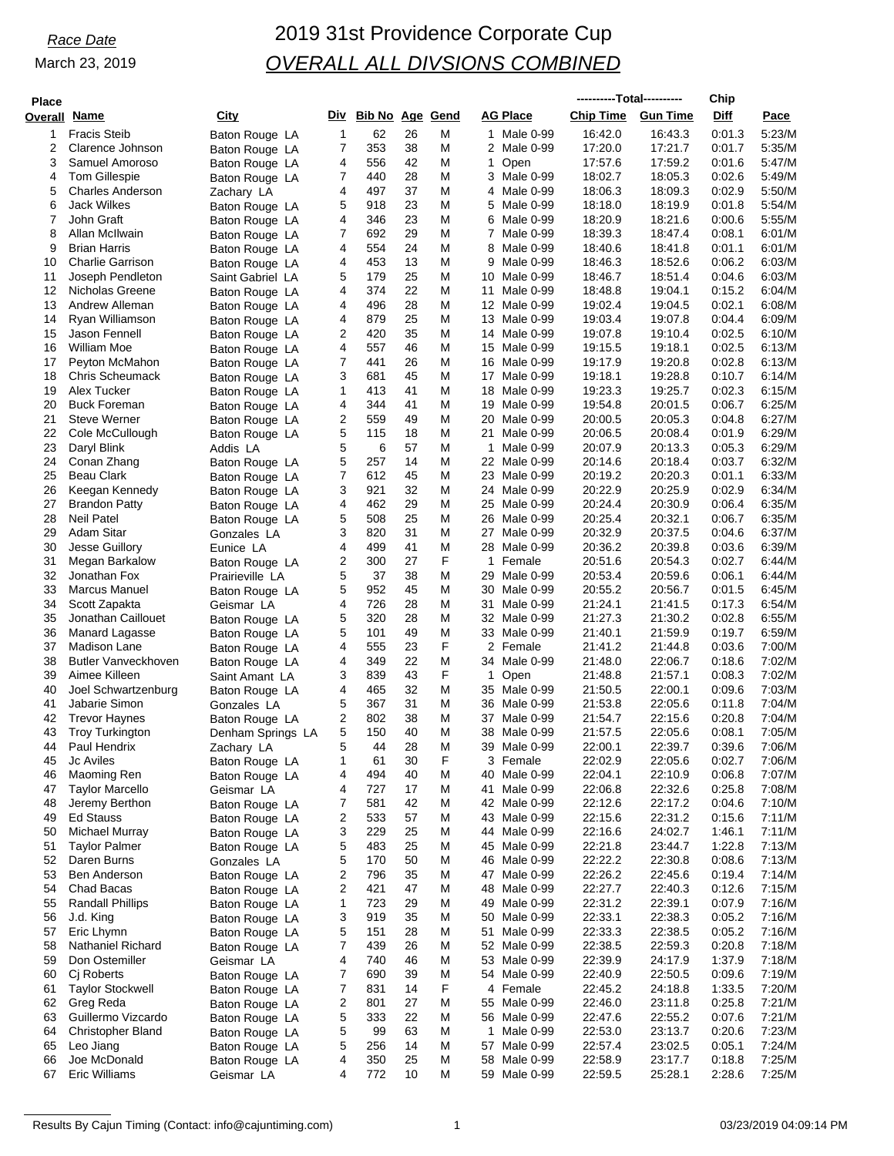# *Race Date* 2019 31st Providence Corporate Cup *OVERALL ALL DIVSIONS COMBINED*

| <b>Place</b>   |                                            |                                  |              |                        |          |        |                                 | ----------Total---------- |                    | Chip             |                  |
|----------------|--------------------------------------------|----------------------------------|--------------|------------------------|----------|--------|---------------------------------|---------------------------|--------------------|------------------|------------------|
| <b>Overall</b> | Name                                       | City                             | Div          | <b>Bib No Age Gend</b> |          |        | <b>AG Place</b>                 | <b>Chip Time</b>          | <b>Gun Time</b>    | Diff             | Pace             |
| 1              | <b>Fracis Steib</b>                        | Baton Rouge LA                   | 1            | 62                     | 26       | M      | 1 Male 0-99                     | 16:42.0                   | 16:43.3            | 0:01.3           | 5:23/M           |
| 2              | Clarence Johnson                           | Baton Rouge LA                   | 7            | 353                    | 38       | M      | 2 Male 0-99                     | 17:20.0                   | 17:21.7            | 0:01.7           | 5:35/M           |
| 3              | Samuel Amoroso                             | Baton Rouge LA                   | 4            | 556                    | 42       | M      | 1<br>Open                       | 17:57.6                   | 17:59.2            | 0:01.6           | 5:47/M           |
| 4              | <b>Tom Gillespie</b>                       | Baton Rouge LA                   | 7            | 440                    | 28       | M      | 3 Male 0-99                     | 18:02.7                   | 18:05.3            | 0:02.6           | 5:49/M           |
| 5<br>6         | <b>Charles Anderson</b><br>Jack Wilkes     | Zachary LA                       | 4<br>5       | 497<br>918             | 37<br>23 | M<br>M | Male 0-99<br>4<br>5 Male 0-99   | 18:06.3<br>18:18.0        | 18:09.3<br>18:19.9 | 0:02.9<br>0:01.8 | 5:50/M<br>5:54/M |
| 7              | John Graft                                 | Baton Rouge LA<br>Baton Rouge LA | 4            | 346                    | 23       | M      | 6<br>Male 0-99                  | 18:20.9                   | 18:21.6            | 0:00.6           | 5:55/M           |
| 8              | Allan McIlwain                             | Baton Rouge LA                   | 7            | 692                    | 29       | M      | $\overline{7}$<br>Male 0-99     | 18:39.3                   | 18:47.4            | 0:08.1           | 6:01/M           |
| 9              | <b>Brian Harris</b>                        | Baton Rouge LA                   | 4            | 554                    | 24       | M      | 8<br>Male 0-99                  | 18:40.6                   | 18:41.8            | 0:01.1           | 6:01/M           |
| 10             | <b>Charlie Garrison</b>                    | Baton Rouge LA                   | 4            | 453                    | 13       | M      | 9<br>Male 0-99                  | 18:46.3                   | 18:52.6            | 0:06.2           | 6:03/M           |
| 11             | Joseph Pendleton                           | Saint Gabriel LA                 | 5            | 179                    | 25       | M      | 10<br>Male 0-99                 | 18:46.7                   | 18:51.4            | 0.04.6           | 6:03/M           |
| 12             | Nicholas Greene                            | Baton Rouge LA                   | 4            | 374                    | 22       | M      | 11<br>Male 0-99                 | 18:48.8                   | 19:04.1            | 0:15.2           | 6.04/M           |
| 13             | Andrew Alleman                             | Baton Rouge LA                   | 4            | 496                    | 28       | M      | 12<br>Male 0-99                 | 19:02.4                   | 19:04.5            | 0:02.1           | 6:08/M           |
| 14             | Ryan Williamson                            | Baton Rouge LA                   | 4            | 879                    | 25       | M      | 13 Male 0-99                    | 19:03.4                   | 19:07.8            | 0.04.4           | 6:09/M           |
| 15             | Jason Fennell                              | Baton Rouge LA                   | 2            | 420                    | 35       | M      | 14 Male 0-99                    | 19:07.8                   | 19:10.4            | 0:02.5           | 6:10/M           |
| 16<br>17       | William Moe<br>Peyton McMahon              | Baton Rouge LA                   | 4<br>7       | 557<br>441             | 46<br>26 | M<br>M | 15<br>Male 0-99<br>16 Male 0-99 | 19:15.5<br>19:17.9        | 19:18.1<br>19:20.8 | 0:02.5<br>0:02.8 | 6:13/M<br>6:13/M |
| 18             | <b>Chris Scheumack</b>                     | Baton Rouge LA<br>Baton Rouge LA | 3            | 681                    | 45       | M      | 17<br>Male 0-99                 | 19:18.1                   | 19:28.8            | 0:10.7           | 6:14/M           |
| 19             | Alex Tucker                                | Baton Rouge LA                   | 1            | 413                    | 41       | M      | 18<br>Male 0-99                 | 19:23.3                   | 19:25.7            | 0:02.3           | 6:15/M           |
| 20             | <b>Buck Foreman</b>                        | Baton Rouge LA                   | 4            | 344                    | 41       | M      | 19<br>Male 0-99                 | 19:54.8                   | 20:01.5            | 0:06.7           | 6:25/M           |
| 21             | <b>Steve Werner</b>                        | Baton Rouge LA                   | 2            | 559                    | 49       | M      | 20<br>Male 0-99                 | 20:00.5                   | 20:05.3            | 0:04.8           | 6:27/M           |
| 22             | Cole McCullough                            | Baton Rouge LA                   | 5            | 115                    | 18       | M      | Male 0-99<br>21                 | 20:06.5                   | 20:08.4            | 0:01.9           | 6:29/M           |
| 23             | Daryl Blink                                | Addis LA                         | 5            | 6                      | 57       | M      | 1<br>Male 0-99                  | 20:07.9                   | 20:13.3            | 0:05.3           | 6:29/M           |
| 24             | Conan Zhang                                | Baton Rouge LA                   | 5            | 257                    | 14       | M      | 22<br>Male 0-99                 | 20:14.6                   | 20:18.4            | 0:03.7           | 6:32/M           |
| 25             | <b>Beau Clark</b>                          | Baton Rouge LA                   | 7            | 612                    | 45       | M      | 23 Male 0-99                    | 20:19.2                   | 20:20.3            | 0:01.1           | 6:33/M           |
| 26<br>27       | Keegan Kennedy                             | Baton Rouge LA                   | 3<br>4       | 921<br>462             | 32<br>29 | M<br>M | 24 Male 0-99<br>25              | 20:22.9<br>20:24.4        | 20:25.9<br>20:30.9 | 0:02.9<br>0:06.4 | 6:34/M<br>6:35/M |
| 28             | <b>Brandon Patty</b><br><b>Neil Patel</b>  | Baton Rouge LA                   | 5            | 508                    | 25       | M      | Male 0-99<br>26 Male 0-99       | 20:25.4                   | 20:32.1            | 0:06.7           | 6:35/M           |
| 29             | <b>Adam Sitar</b>                          | Baton Rouge LA<br>Gonzales LA    | 3            | 820                    | 31       | M      | 27<br>Male 0-99                 | 20:32.9                   | 20:37.5            | 0:04.6           | 6:37/M           |
| 30             | Jesse Guillory                             | Eunice LA                        | 4            | 499                    | 41       | M      | 28 Male 0-99                    | 20:36.2                   | 20:39.8            | 0:03.6           | 6:39/M           |
| 31             | Megan Barkalow                             | Baton Rouge LA                   | 2            | 300                    | 27       | F      | 1<br>Female                     | 20:51.6                   | 20:54.3            | 0:02.7           | 6.44/M           |
| 32             | Jonathan Fox                               | Prairieville LA                  | 5            | 37                     | 38       | M      | 29<br>Male 0-99                 | 20:53.4                   | 20:59.6            | 0:06.1           | 6:44/M           |
| 33             | <b>Marcus Manuel</b>                       | Baton Rouge LA                   | 5            | 952                    | 45       | M      | 30<br>Male 0-99                 | 20:55.2                   | 20:56.7            | 0:01.5           | 6:45/M           |
| 34             | Scott Zapakta                              | Geismar LA                       | 4            | 726                    | 28       | M      | 31<br>Male 0-99                 | 21:24.1                   | 21:41.5            | 0:17.3           | 6:54/M           |
| 35             | Jonathan Caillouet                         | Baton Rouge LA                   | 5            | 320                    | 28       | M      | 32 Male 0-99                    | 21:27.3                   | 21:30.2            | 0:02.8           | 6:55/M           |
| 36             | Manard Lagasse                             | Baton Rouge LA                   | 5            | 101                    | 49       | M<br>F | 33 Male 0-99                    | 21:40.1                   | 21:59.9            | 0:19.7           | 6:59/M           |
| 37<br>38       | Madison Lane<br><b>Butler Vanveckhoven</b> | Baton Rouge LA<br>Baton Rouge LA | 4<br>4       | 555<br>349             | 23<br>22 | M      | 2<br>Female<br>34 Male 0-99     | 21:41.2<br>21:48.0        | 21:44.8<br>22:06.7 | 0:03.6<br>0:18.6 | 7:00/M<br>7:02/M |
| 39             | Aimee Killeen                              | Saint Amant LA                   | 3            | 839                    | 43       | F      | $\mathbf{1}$<br>Open            | 21:48.8                   | 21:57.1            | 0:08.3           | 7:02/M           |
| 40             | Joel Schwartzenburg                        | Baton Rouge LA                   | 4            | 465                    | 32       | M      | 35 Male 0-99                    | 21:50.5                   | 22:00.1            | 0:09.6           | 7:03/M           |
| 41             | Jabarie Simon                              | Gonzales LA                      | 5            | 367                    | 31       | M      | 36 Male 0-99                    | 21:53.8                   | 22:05.6            | 0:11.8           | 7:04/M           |
| 42             | <b>Trevor Haynes</b>                       | Baton Rouge LA                   | 2            | 802                    | 38       | M      | 37<br>Male 0-99                 | 21:54.7                   | 22:15.6            | 0:20.8           | 7:04/M           |
| 43             | <b>Troy Turkington</b>                     | Denham Springs LA                | 5            | 150                    | 40       | M      | 38 Male 0-99                    | 21:57.5                   | 22:05.6            | 0:08.1           | 7:05/M           |
| 44             | Paul Hendrix                               | Zachary LA                       | 5            | 44                     | 28       | M      | 39 Male 0-99                    | 22:00.1                   | 22:39.7            | 0:39.6           | 7:06/M           |
| 45             | Jc Aviles                                  | Baton Rouge LA                   | 1            | 61                     | 30       | F      | 3 Female                        | 22:02.9                   | 22:05.6            | 0:02.7           | 7:06/M           |
| 46             | Maoming Ren                                | Baton Rouge LA                   | 4            | 494                    | 40       | M      | 40 Male 0-99                    | 22:04.1                   | 22:10.9            | 0.06.8           | 7:07/M           |
| 47<br>48       | <b>Taylor Marcello</b><br>Jeremy Berthon   | Geismar LA                       | 4            | 727<br>581             | 17<br>42 | M<br>M | Male 0-99<br>41<br>42 Male 0-99 | 22:06.8<br>22:12.6        | 22:32.6<br>22:17.2 | 0.25.8<br>0.04.6 | 7:08/M<br>7:10/M |
| 49             | <b>Ed Stauss</b>                           | Baton Rouge LA<br>Baton Rouge LA | 7<br>2       | 533                    | 57       | M      | 43 Male 0-99                    | 22:15.6                   | 22:31.2            | 0.15.6           | 7:11/M           |
| 50             | Michael Murray                             | Baton Rouge LA                   | 3            | 229                    | 25       | M      | 44 Male 0-99                    | 22:16.6                   | 24:02.7            | 1:46.1           | 7:11/M           |
| 51             | <b>Taylor Palmer</b>                       | Baton Rouge LA                   | 5            | 483                    | 25       | M      | 45<br>Male 0-99                 | 22:21.8                   | 23:44.7            | 1:22.8           | 7:13/M           |
| 52             | Daren Burns                                | Gonzales LA                      | 5            | 170                    | 50       | M      | 46 Male 0-99                    | 22:22.2                   | 22:30.8            | 0.08.6           | 7:13/M           |
| 53             | Ben Anderson                               | Baton Rouge LA                   | 2            | 796                    | 35       | M      | 47 Male 0-99                    | 22:26.2                   | 22:45.6            | 0.19.4           | 7:14/M           |
| 54             | Chad Bacas                                 | Baton Rouge LA                   | 2            | 421                    | 47       | M      | 48 Male 0-99                    | 22:27.7                   | 22:40.3            | 0.12.6           | 7:15/M           |
| 55             | <b>Randall Phillips</b>                    | Baton Rouge LA                   | $\mathbf{1}$ | 723                    | 29       | M      | Male 0-99<br>49                 | 22:31.2                   | 22:39.1            | 0:07.9           | 7:16/M           |
| 56             | J.d. King                                  | Baton Rouge LA                   | 3            | 919                    | 35       | M      | 50<br>Male 0-99                 | 22:33.1                   | 22:38.3            | 0:05.2           | 7:16/M           |
| 57             | Eric Lhymn                                 | Baton Rouge LA                   | 5            | 151                    | 28       | M      | 51<br>Male 0-99                 | 22:33.3                   | 22:38.5            | 0:05.2           | 7:16/M           |
| 58<br>59       | Nathaniel Richard<br>Don Ostemiller        | Baton Rouge LA                   | 7            | 439                    | 26<br>46 | M<br>M | 52 Male 0-99                    | 22:38.5<br>22:39.9        | 22:59.3            | 0.20.8<br>1:37.9 | 7:18/M<br>7:18/M |
| 60             | C <sub>j</sub> Roberts                     | Geismar LA                       | 4<br>7       | 740<br>690             | 39       | M      | 53 Male 0-99<br>54 Male 0-99    | 22:40.9                   | 24:17.9<br>22:50.5 | 0.09.6           | 7:19/M           |
| 61             | <b>Taylor Stockwell</b>                    | Baton Rouge LA<br>Baton Rouge LA | 7            | 831                    | 14       | F      | 4<br>Female                     | 22:45.2                   | 24:18.8            | 1:33.5           | 7:20/M           |
| 62             | Greg Reda                                  | Baton Rouge LA                   | 2            | 801                    | 27       | M      | 55 Male 0-99                    | 22:46.0                   | 23:11.8            | 0:25.8           | 7:21/M           |
| 63             | Guillermo Vizcardo                         | Baton Rouge LA                   | 5            | 333                    | 22       | M      | 56 Male 0-99                    | 22:47.6                   | 22:55.2            | 0:07.6           | 7:21/M           |
| 64             | Christopher Bland                          | Baton Rouge LA                   | 5            | 99                     | 63       | M      | Male 0-99<br>$\mathbf{1}$       | 22:53.0                   | 23:13.7            | 0:20.6           | 7:23/M           |
| 65             | Leo Jiang                                  | Baton Rouge LA                   | 5            | 256                    | 14       | M      | 57 Male 0-99                    | 22:57.4                   | 23:02.5            | 0.05.1           | 7:24/M           |
| 66             | Joe McDonald                               | Baton Rouge LA                   | 4            | 350                    | 25       | M      | Male 0-99<br>58                 | 22:58.9                   | 23:17.7            | 0.18.8           | 7:25/M           |
| 67             | <b>Eric Williams</b>                       | Geismar LA                       | 4            | 772                    | 10       | M      | 59 Male 0-99                    | 22:59.5                   | 25:28.1            | 2:28.6           | 7:25/M           |

Results By Cajun Timing (Contact: info@cajuntiming.com) 1 1 03/23/2019 04:09:14 PM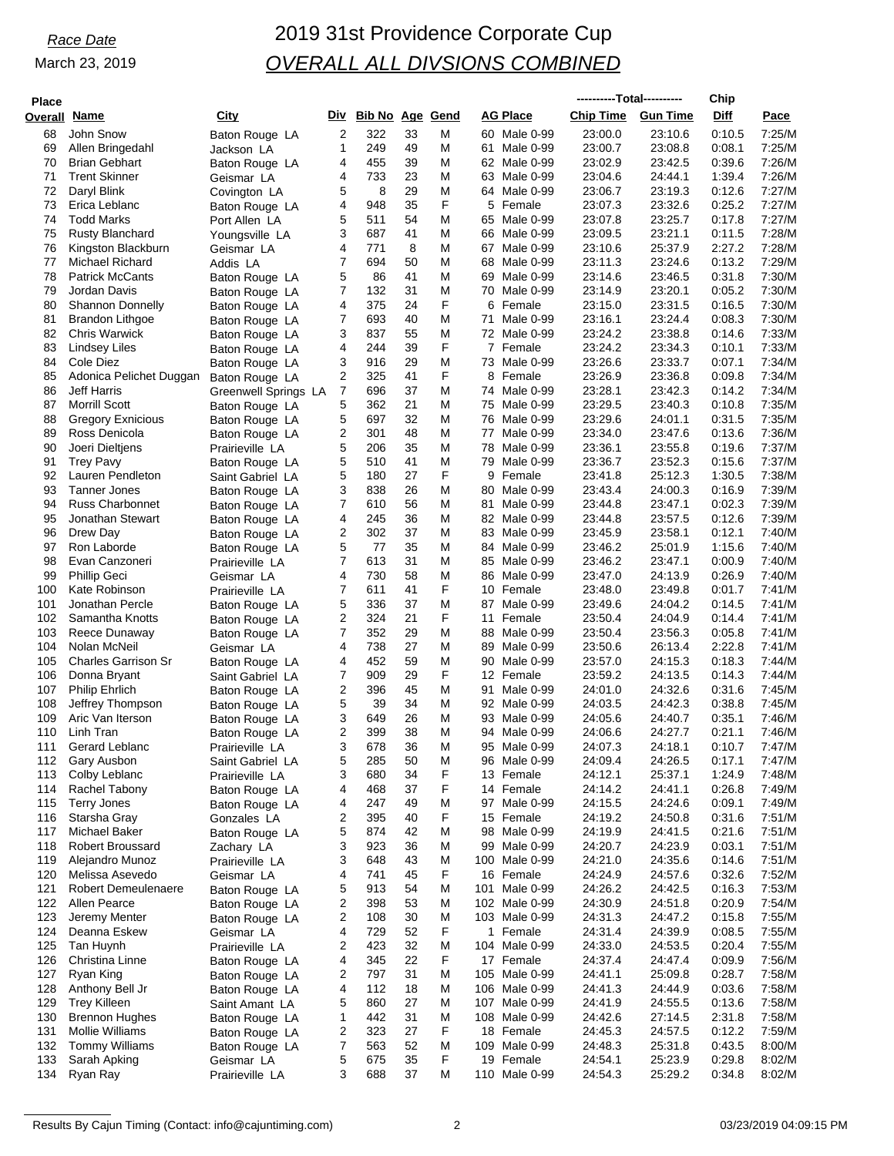| <b>Place</b> |                                                 |                                     |                |                        |          |        |    |                               | ----------Total---------- |                    | Chip             |                  |
|--------------|-------------------------------------------------|-------------------------------------|----------------|------------------------|----------|--------|----|-------------------------------|---------------------------|--------------------|------------------|------------------|
| Overall      | Name                                            | City                                | Div            | <b>Bib No Age Gend</b> |          |        |    | <b>AG Place</b>               | <b>Chip Time</b>          | <b>Gun Time</b>    | Diff             | Pace             |
| 68           | John Snow                                       | Baton Rouge LA                      | $\overline{2}$ | 322                    | 33       | M      |    | 60 Male 0-99                  | 23:00.0                   | 23:10.6            | 0:10.5           | 7:25/M           |
| 69           | Allen Bringedahl                                | Jackson LA                          | 1              | 249                    | 49       | M      | 61 | Male 0-99                     | 23:00.7                   | 23:08.8            | 0.08.1<br>0.39.6 | 7:25/M           |
| 70<br>71     | <b>Brian Gebhart</b><br><b>Trent Skinner</b>    | Baton Rouge LA<br>Geismar LA        | 4<br>4         | 455<br>733             | 39<br>23 | M<br>M |    | 62 Male 0-99<br>63 Male 0-99  | 23:02.9<br>23:04.6        | 23:42.5<br>24:44.1 | 1:39.4           | 7:26/M<br>7:26/M |
| 72           | Daryl Blink                                     | Covington LA                        | 5              | 8                      | 29       | M      |    | 64 Male 0-99                  | 23:06.7                   | 23:19.3            | 0:12.6           | 7:27/M           |
| 73           | Erica Leblanc                                   | Baton Rouge LA                      | 4              | 948                    | 35       | F      |    | 5 Female                      | 23:07.3                   | 23:32.6            | 0:25.2           | 7:27/M           |
| 74           | <b>Todd Marks</b>                               | Port Allen LA                       | 5              | 511                    | 54       | M      |    | 65 Male 0-99                  | 23:07.8                   | 23:25.7            | 0:17.8           | 7:27/M           |
| 75           | <b>Rusty Blanchard</b>                          | Youngsville LA                      | 3              | 687                    | 41       | M      |    | 66 Male 0-99                  | 23:09.5                   | 23:21.1            | 0:11.5           | 7:28/M           |
| 76<br>77     | Kingston Blackburn<br>Michael Richard           | Geismar LA<br>Addis LA              | 4<br>7         | 771<br>694             | 8<br>50  | M<br>M |    | 67 Male 0-99<br>68 Male 0-99  | 23:10.6<br>23:11.3        | 25:37.9<br>23:24.6 | 2:27.2<br>0:13.2 | 7:28/M<br>7:29/M |
| 78           | <b>Patrick McCants</b>                          | Baton Rouge LA                      | 5              | 86                     | 41       | M      | 69 | Male 0-99                     | 23:14.6                   | 23:46.5            | 0.31.8           | 7:30/M           |
| 79           | Jordan Davis                                    | Baton Rouge LA                      | 7              | 132                    | 31       | M      |    | 70 Male 0-99                  | 23:14.9                   | 23:20.1            | 0:05.2           | 7:30/M           |
| 80           | <b>Shannon Donnelly</b>                         | Baton Rouge LA                      | 4              | 375                    | 24       | F      |    | 6 Female                      | 23:15.0                   | 23:31.5            | 0:16.5           | 7:30/M           |
| 81           | Brandon Lithgoe                                 | Baton Rouge LA                      | 7              | 693                    | 40       | M      | 71 | Male 0-99                     | 23:16.1                   | 23:24.4            | 0:08.3           | 7:30/M           |
| 82<br>83     | <b>Chris Warwick</b><br>Lindsey Liles           | Baton Rouge LA<br>Baton Rouge LA    | 3<br>4         | 837<br>244             | 55<br>39 | M<br>F | 7  | 72 Male 0-99<br>Female        | 23:24.2<br>23:24.2        | 23:38.8<br>23:34.3 | 0:14.6<br>0:10.1 | 7:33/M<br>7:33/M |
| 84           | Cole Diez                                       | Baton Rouge LA                      | 3              | 916                    | 29       | M      |    | 73 Male 0-99                  | 23:26.6                   | 23:33.7            | 0:07.1           | 7:34/M           |
| 85           | Adonica Pelichet Duggan                         | Baton Rouge LA                      | 2              | 325                    | 41       | F      | 8  | Female                        | 23.26.9                   | 23:36.8            | 0:09.8           | 7:34/M           |
| 86           | Jeff Harris                                     | Greenwell Springs LA                | $\overline{7}$ | 696                    | 37       | M      |    | 74 Male 0-99                  | 23:28.1                   | 23:42.3            | 0:14.2           | 7:34/M           |
| 87           | <b>Morrill Scott</b>                            | Baton Rouge LA                      | 5              | 362                    | 21       | M      |    | 75 Male 0-99                  | 23:29.5                   | 23:40.3            | 0:10.8           | 7:35/M           |
| 88<br>89     | <b>Gregory Exnicious</b><br>Ross Denicola       | Baton Rouge LA<br>Baton Rouge LA    | 5<br>2         | 697<br>301             | 32<br>48 | M<br>M | 77 | 76 Male 0-99<br>Male 0-99     | 23:29.6<br>23:34.0        | 24:01.1<br>23:47.6 | 0:31.5<br>0:13.6 | 7:35/M<br>7:36/M |
| 90           | Joeri Dieltjens                                 | Prairieville LA                     | 5              | 206                    | 35       | M      |    | 78 Male 0-99                  | 23:36.1                   | 23:55.8            | 0:19.6           | 7:37/M           |
| 91           | <b>Trey Pavy</b>                                | Baton Rouge LA                      | 5              | 510                    | 41       | M      | 79 | Male 0-99                     | 23:36.7                   | 23:52.3            | 0:15.6           | 7:37/M           |
| 92           | Lauren Pendleton                                | Saint Gabriel LA                    | 5              | 180                    | 27       | F      |    | 9 Female                      | 23:41.8                   | 25:12.3            | 1:30.5           | 7:38/M           |
| 93           | Tanner Jones                                    | Baton Rouge LA                      | 3              | 838                    | 26       | M      | 80 | Male 0-99                     | 23:43.4                   | 24:00.3            | 0.16.9           | 7:39/M           |
| 94<br>95     | <b>Russ Charbonnet</b><br>Jonathan Stewart      | Baton Rouge LA                      | 7<br>4         | 610<br>245             | 56<br>36 | M<br>M | 81 | Male 0-99<br>82 Male 0-99     | 23:44.8<br>23:44.8        | 23:47.1<br>23:57.5 | 0:02.3<br>0:12.6 | 7:39/M<br>7:39/M |
| 96           | Drew Day                                        | Baton Rouge LA<br>Baton Rouge LA    | 2              | 302                    | 37       | M      |    | 83 Male 0-99                  | 23:45.9                   | 23:58.1            | 0:12.1           | 7:40/M           |
| 97           | Ron Laborde                                     | Baton Rouge LA                      | 5              | 77                     | 35       | M      |    | 84 Male 0-99                  | 23:46.2                   | 25:01.9            | 1:15.6           | 7:40/M           |
| 98           | Evan Canzoneri                                  | Prairieville LA                     | 7              | 613                    | 31       | M      |    | 85 Male 0-99                  | 23:46.2                   | 23:47.1            | 0:00.9           | 7:40/M           |
| 99           | <b>Phillip Geci</b>                             | Geismar LA                          | 4              | 730                    | 58       | M      |    | 86 Male 0-99                  | 23:47.0                   | 24:13.9            | 0.26.9           | 7:40/M           |
| 100<br>101   | Kate Robinson<br>Jonathan Percle                | Prairieville LA                     | 7<br>5         | 611<br>336             | 41<br>37 | F<br>M | 87 | 10 Female<br>Male 0-99        | 23:48.0<br>23.49.6        | 23:49.8<br>24:04.2 | 0:01.7<br>0:14.5 | 7:41/M<br>7:41/M |
| 102          | Samantha Knotts                                 | Baton Rouge LA<br>Baton Rouge LA    | 2              | 324                    | 21       | F      | 11 | Female                        | 23:50.4                   | 24:04.9            | 0.14.4           | 7:41/M           |
| 103          | Reece Dunaway                                   | Baton Rouge LA                      | 7              | 352                    | 29       | M      |    | 88 Male 0-99                  | 23:50.4                   | 23:56.3            | 0:05.8           | 7:41/M           |
| 104          | Nolan McNeil                                    | Geismar LA                          | 4              | 738                    | 27       | M      |    | 89 Male 0-99                  | 23:50.6                   | 26:13.4            | 2:22.8           | 7:41/M           |
| 105          | <b>Charles Garrison Sr</b>                      | Baton Rouge LA                      | 4              | 452                    | 59       | M      | 90 | Male 0-99                     | 23:57.0                   | 24:15.3            | 0:18.3           | 7:44/M           |
| 106<br>107   | Donna Bryant<br><b>Philip Ehrlich</b>           | Saint Gabriel LA<br>Baton Rouge LA  | 7<br>2         | 909<br>396             | 29<br>45 | F<br>M | 91 | 12 Female<br>Male 0-99        | 23:59.2<br>24:01.0        | 24:13.5<br>24:32.6 | 0:14.3<br>0.31.6 | 7:44/M<br>7:45/M |
| 108          | Jeffrey Thompson                                | Baton Rouge LA                      | 5              | 39                     | 34       | M      |    | 92 Male 0-99                  | 24:03.5                   | 24:42.3            | 0:38.8           | 7:45/M           |
| 109          | Aric Van Iterson                                | Baton Rouge LA                      | 3              | 649                    | 26       | M      |    | 93 Male 0-99                  | 24:05.6                   | 24:40.7            | 0.35.1           | 7:46/M           |
| 110          | Linh Tran                                       | Baton Rouge LA                      | 2              | 399                    | 38       | M      |    | 94 Male 0-99                  | 24:06.6                   | 24:27.7            | 0:21.1           | 7:46/M           |
| 111          | Gerard Leblanc                                  | Prairieville LA                     | 3              | 678                    | 36       | M      |    | 95 Male 0-99                  | 24:07.3                   | 24:18.1            | 0:10.7           | 7:47/M           |
| 112<br>113   | Gary Ausbon<br>Colby Leblanc                    | Saint Gabriel LA<br>Prairieville LA | 5<br>3         | 285<br>680             | 50<br>34 | M<br>F |    | 96 Male 0-99<br>13 Female     | 24:09.4<br>24:12.1        | 24:26.5<br>25:37.1 | 0.17.1<br>1:24.9 | 7:47/M<br>7:48/M |
| 114          | Rachel Tabony                                   | Baton Rouge LA                      | 4              | 468                    | 37       | F      |    | 14 Female                     | 24:14.2                   | 24:41.1            | 0:26.8           | 7:49/M           |
| 115          | <b>Terry Jones</b>                              | Baton Rouge LA                      | 4              | 247                    | 49       | M      |    | 97 Male 0-99                  | 24:15.5                   | 24:24.6            | 0:09.1           | 7:49/M           |
| 116          | Starsha Gray                                    | Gonzales LA                         | 2              | 395                    | 40       | F      |    | 15 Female                     | 24:19.2                   | 24:50.8            | 0.31.6           | 7:51/M           |
| 117          | Michael Baker                                   | Baton Rouge LA                      | 5              | 874                    | 42       | M      |    | 98 Male 0-99                  | 24:19.9                   | 24:41.5            | 0:21.6           | 7:51/M           |
| 118<br>119   | <b>Robert Broussard</b><br>Alejandro Munoz      | Zachary LA<br>Prairieville LA       | 3<br>3         | 923<br>648             | 36<br>43 | M<br>M |    | 99 Male 0-99<br>100 Male 0-99 | 24:20.7<br>24:21.0        | 24:23.9<br>24:35.6 | 0:03.1<br>0:14.6 | 7:51/M<br>7:51/M |
| 120          | Melissa Asevedo                                 | Geismar LA                          | 4              | 741                    | 45       | F      |    | 16 Female                     | 24:24.9                   | 24:57.6            | 0:32.6           | 7:52/M           |
| 121          | <b>Robert Demeulenaere</b>                      | Baton Rouge LA                      | 5              | 913                    | 54       | M      |    | 101 Male 0-99                 | 24:26.2                   | 24:42.5            | 0:16.3           | 7:53/M           |
| 122          | Allen Pearce                                    | Baton Rouge LA                      | 2              | 398                    | 53       | M      |    | 102 Male 0-99                 | 24:30.9                   | 24:51.8            | 0:20.9           | 7:54/M           |
| 123          | Jeremy Menter                                   | Baton Rouge LA                      | 2              | 108                    | 30       | M      |    | 103 Male 0-99                 | 24:31.3                   | 24:47.2            | 0:15.8           | 7:55/M           |
| 124<br>125   | Deanna Eskew<br>Tan Huynh                       | Geismar LA<br>Prairieville LA       | 4<br>2         | 729<br>423             | 52<br>32 | F<br>M |    | 1 Female<br>104 Male 0-99     | 24:31.4<br>24:33.0        | 24:39.9<br>24:53.5 | 0:08.5<br>0:20.4 | 7:55/M<br>7:55/M |
| 126          | Christina Linne                                 | Baton Rouge LA                      | 4              | 345                    | 22       | F      |    | 17 Female                     | 24:37.4                   | 24:47.4            | 0:09.9           | 7:56/M           |
| 127          | Ryan King                                       | Baton Rouge LA                      | 2              | 797                    | 31       | M      |    | 105 Male 0-99                 | 24:41.1                   | 25:09.8            | 0:28.7           | 7:58/M           |
| 128          | Anthony Bell Jr                                 | Baton Rouge LA                      | 4              | 112                    | 18       | M      |    | 106 Male 0-99                 | 24:41.3                   | 24:44.9            | 0:03.6           | 7:58/M           |
| 129          | <b>Trey Killeen</b>                             | Saint Amant LA                      | 5              | 860                    | 27       | M      |    | 107 Male 0-99                 | 24:41.9                   | 24:55.5            | 0:13.6           | 7:58/M           |
| 130<br>131   | <b>Brennon Hughes</b><br><b>Mollie Williams</b> | Baton Rouge LA<br>Baton Rouge LA    | 1<br>2         | 442<br>323             | 31<br>27 | M<br>F |    | 108 Male 0-99<br>18 Female    | 24:42.6<br>24:45.3        | 27:14.5<br>24:57.5 | 2:31.8<br>0:12.2 | 7:58/M<br>7:59/M |
| 132          | <b>Tommy Williams</b>                           | Baton Rouge LA                      | 7              | 563                    | 52       | M      |    | 109 Male 0-99                 | 24:48.3                   | 25:31.8            | 0:43.5           | 8:00/M           |
| 133          | Sarah Apking                                    | Geismar LA                          | 5              | 675                    | 35       | F      |    | 19 Female                     | 24:54.1                   | 25:23.9            | 0:29.8           | 8:02/M           |
| 134          | Ryan Ray                                        | Prairieville LA                     | 3              | 688                    | 37       | M      |    | 110 Male 0-99                 | 24:54.3                   | 25:29.2            | 0:34.8           | 8:02/M           |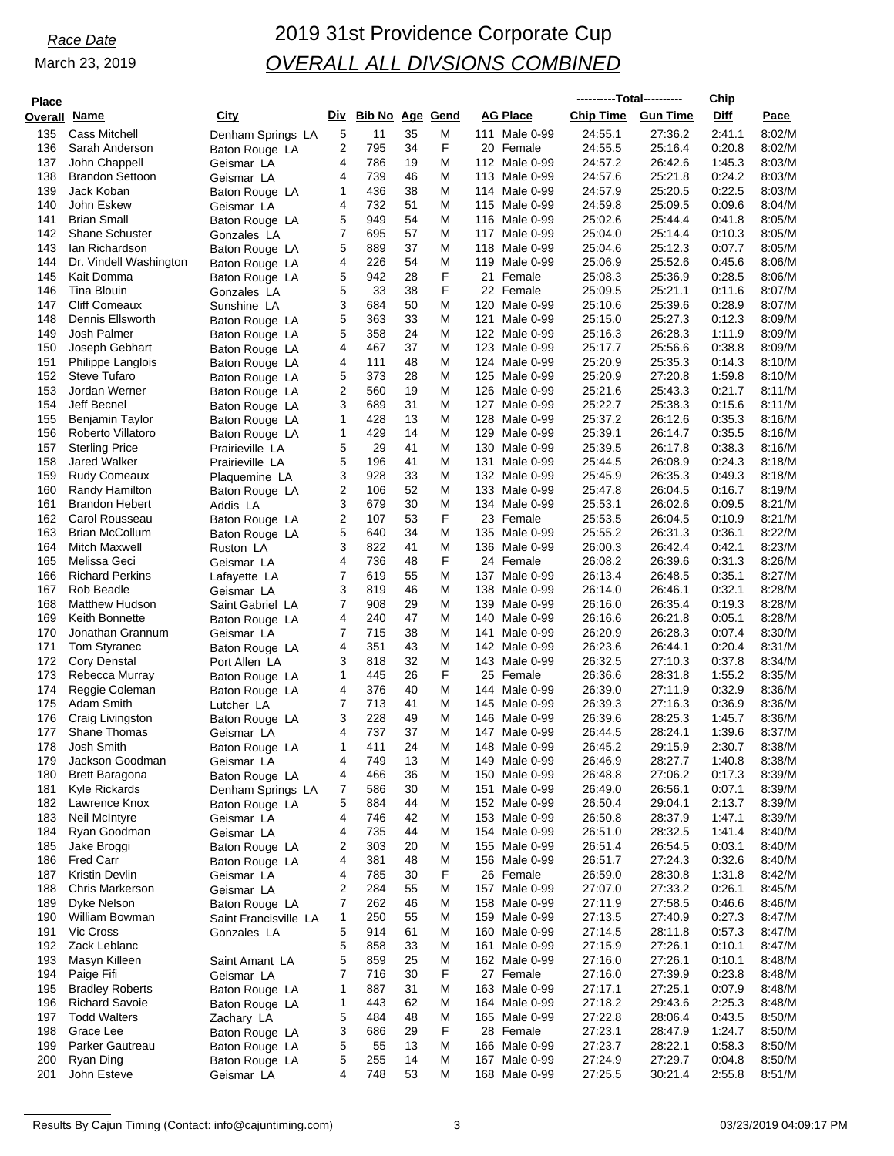| <b>Place</b> |                        |                       |     |                 |    |   |                  | ----------Total---------- |                 | Chip   |        |
|--------------|------------------------|-----------------------|-----|-----------------|----|---|------------------|---------------------------|-----------------|--------|--------|
| Overall Name |                        | City                  | Div | Bib No Age Gend |    |   | <b>AG Place</b>  | <b>Chip Time</b>          | <b>Gun Time</b> | Diff   | Pace   |
|              |                        |                       |     |                 |    |   |                  |                           |                 |        |        |
| 135          | <b>Cass Mitchell</b>   | Denham Springs LA     | 5   | 11              | 35 | M | 111 Male 0-99    | 24:55.1                   | 27:36.2         | 2:41.1 | 8:02/M |
| 136          | Sarah Anderson         | Baton Rouge LA        | 2   | 795             | 34 | F | 20 Female        | 24:55.5                   | 25:16.4         | 0:20.8 | 8:02/M |
| 137          | John Chappell          | Geismar LA            | 4   | 786             | 19 | M | 112 Male 0-99    | 24:57.2                   | 26:42.6         | 1:45.3 | 8:03/M |
| 138          | <b>Brandon Settoon</b> | Geismar LA            | 4   | 739             | 46 | M | 113 Male 0-99    | 24:57.6                   | 25:21.8         | 0:24.2 | 8:03/M |
| 139          | Jack Koban             | Baton Rouge LA        | 1   | 436             | 38 | M | 114 Male 0-99    | 24:57.9                   | 25:20.5         | 0:22.5 | 8:03/M |
| 140          | John Eskew             | Geismar LA            | 4   | 732             | 51 | M | 115 Male 0-99    | 24:59.8                   | 25:09.5         | 0.09.6 | 8:04/M |
| 141          | <b>Brian Small</b>     | Baton Rouge LA        | 5   | 949             | 54 | M | 116 Male 0-99    | 25:02.6                   | 25:44.4         | 0.41.8 | 8:05/M |
| 142          | <b>Shane Schuster</b>  | Gonzales LA           | 7   | 695             | 57 | M | 117 Male 0-99    | 25:04.0                   | 25:14.4         | 0:10.3 | 8:05/M |
| 143          | lan Richardson         |                       | 5   | 889             | 37 | M | 118 Male 0-99    | 25:04.6                   | 25:12.3         | 0:07.7 | 8:05/M |
|              |                        | Baton Rouge LA        |     |                 |    |   |                  |                           |                 |        |        |
| 144          | Dr. Vindell Washington | Baton Rouge LA        | 4   | 226             | 54 | M | 119 Male 0-99    | 25:06.9                   | 25:52.6         | 0.45.6 | 8:06/M |
| 145          | Kait Domma             | Baton Rouge LA        | 5   | 942             | 28 | F | 21<br>Female     | 25:08.3                   | 25:36.9         | 0.28.5 | 8:06/M |
| 146          | Tina Blouin            | Gonzales LA           | 5   | 33              | 38 | F | 22 Female        | 25:09.5                   | 25:21.1         | 0:11.6 | 8:07/M |
| 147          | <b>Cliff Comeaux</b>   | Sunshine LA           | 3   | 684             | 50 | M | 120 Male 0-99    | 25:10.6                   | 25:39.6         | 0.28.9 | 8:07/M |
| 148          | Dennis Ellsworth       | Baton Rouge LA        | 5   | 363             | 33 | M | 121<br>Male 0-99 | 25:15.0                   | 25:27.3         | 0:12.3 | 8:09/M |
| 149          | Josh Palmer            | Baton Rouge LA        | 5   | 358             | 24 | M | 122 Male 0-99    | 25:16.3                   | 26:28.3         | 1:11.9 | 8:09/M |
| 150          | Joseph Gebhart         | Baton Rouge LA        | 4   | 467             | 37 | M | 123 Male 0-99    | 25:17.7                   | 25:56.6         | 0:38.8 | 8:09/M |
| 151          | Philippe Langlois      | Baton Rouge LA        | 4   | 111             | 48 | M | 124 Male 0-99    | 25:20.9                   | 25:35.3         | 0:14.3 | 8:10/M |
| 152          | <b>Steve Tufaro</b>    | Baton Rouge LA        | 5   | 373             | 28 | M | 125 Male 0-99    | 25:20.9                   | 27:20.8         | 1:59.8 | 8:10/M |
| 153          | Jordan Werner          |                       | 2   | 560             | 19 | M | 126 Male 0-99    | 25:21.6                   | 25:43.3         | 0:21.7 | 8:11/M |
|              |                        | Baton Rouge LA        |     |                 |    |   |                  |                           |                 |        |        |
| 154          | Jeff Becnel            | Baton Rouge LA        | 3   | 689             | 31 | M | 127 Male 0-99    | 25:22.7                   | 25:38.3         | 0:15.6 | 8:11/M |
| 155          | Benjamin Taylor        | Baton Rouge LA        | 1   | 428             | 13 | M | 128 Male 0-99    | 25:37.2                   | 26:12.6         | 0:35.3 | 8:16/M |
| 156          | Roberto Villatoro      | Baton Rouge LA        | 1   | 429             | 14 | M | 129 Male 0-99    | 25:39.1                   | 26:14.7         | 0:35.5 | 8:16/M |
| 157          | <b>Sterling Price</b>  | Prairieville LA       | 5   | 29              | 41 | M | 130 Male 0-99    | 25:39.5                   | 26:17.8         | 0:38.3 | 8:16/M |
| 158          | Jared Walker           | Prairieville LA       | 5   | 196             | 41 | M | 131 Male 0-99    | 25:44.5                   | 26:08.9         | 0:24.3 | 8:18/M |
| 159          | <b>Rudy Comeaux</b>    | Plaquemine LA         | 3   | 928             | 33 | M | 132 Male 0-99    | 25:45.9                   | 26:35.3         | 0.49.3 | 8:18/M |
| 160          | Randy Hamilton         | Baton Rouge LA        | 2   | 106             | 52 | M | 133 Male 0-99    | 25:47.8                   | 26:04.5         | 0:16.7 | 8:19/M |
| 161          | <b>Brandon Hebert</b>  | Addis LA              | 3   | 679             | 30 | M | 134 Male 0-99    | 25:53.1                   | 26:02.6         | 0:09.5 | 8:21/M |
| 162          | Carol Rousseau         | Baton Rouge LA        | 2   | 107             | 53 | F | 23 Female        | 25:53.5                   | 26:04.5         | 0:10.9 | 8:21/M |
| 163          | Brian McCollum         |                       | 5   | 640             | 34 | M | 135 Male 0-99    | 25:55.2                   | 26:31.3         | 0:36.1 | 8:22/M |
|              |                        | Baton Rouge LA        |     |                 |    |   |                  |                           |                 |        |        |
| 164          | <b>Mitch Maxwell</b>   | Ruston LA             | 3   | 822             | 41 | M | 136 Male 0-99    | 26:00.3                   | 26:42.4         | 0:42.1 | 8:23/M |
| 165          | Melissa Geci           | Geismar LA            | 4   | 736             | 48 | F | 24 Female        | 26:08.2                   | 26:39.6         | 0:31.3 | 8:26/M |
| 166          | <b>Richard Perkins</b> | Lafayette LA          | 7   | 619             | 55 | M | 137 Male 0-99    | 26:13.4                   | 26:48.5         | 0.35.1 | 8:27/M |
| 167          | Rob Beadle             | Geismar LA            | 3   | 819             | 46 | M | 138 Male 0-99    | 26:14.0                   | 26:46.1         | 0:32.1 | 8:28/M |
| 168          | <b>Matthew Hudson</b>  | Saint Gabriel LA      | 7   | 908             | 29 | M | 139 Male 0-99    | 26:16.0                   | 26:35.4         | 0:19.3 | 8:28/M |
| 169          | Keith Bonnette         | Baton Rouge LA        | 4   | 240             | 47 | M | 140<br>Male 0-99 | 26:16.6                   | 26:21.8         | 0:05.1 | 8:28/M |
| 170          | Jonathan Grannum       | Geismar LA            | 7   | 715             | 38 | M | 141<br>Male 0-99 | 26:20.9                   | 26:28.3         | 0.07.4 | 8:30/M |
| 171          | Tom Styranec           | Baton Rouge LA        | 4   | 351             | 43 | M | 142 Male 0-99    | 26:23.6                   | 26:44.1         | 0:20.4 | 8:31/M |
| 172          | <b>Cory Denstal</b>    | Port Allen LA         | 3   | 818             | 32 | M | 143 Male 0-99    | 26:32.5                   | 27:10.3         | 0.37.8 | 8:34/M |
|              | Rebecca Murray         |                       | 1   | 445             | 26 | F |                  | 26:36.6                   | 28:31.8         | 1:55.2 | 8:35/M |
| 173          |                        | Baton Rouge LA        |     |                 |    |   | 25 Female        |                           |                 |        |        |
| 174          | Reggie Coleman         | Baton Rouge LA        | 4   | 376             | 40 | M | 144 Male 0-99    | 26:39.0                   | 27:11.9         | 0:32.9 | 8:36/M |
| 175          | Adam Smith             | Lutcher LA            | 7   | 713             | 41 | M | 145 Male 0-99    | 26:39.3                   | 27:16.3         | 0:36.9 | 8:36/M |
| 176          | Craig Livingston       | Baton Rouge LA        | 3   | 228             | 49 | M | 146 Male 0-99    | 26:39.6                   | 28:25.3         | 1:45.7 | 8:36/M |
| 177          | <b>Shane Thomas</b>    | Geismar LA            | 4   | 737             | 37 | M | 147 Male 0-99    | 26:44.5                   | 28:24.1         | 1:39.6 | 8:37/M |
| 178          | Josh Smith             | Baton Rouge LA        | 1   | 411             | 24 | M | 148 Male 0-99    | 26:45.2                   | 29:15.9         | 2:30.7 | 8:38/M |
| 179          | Jackson Goodman        | Geismar LA            | 4   | 749             | 13 | M | 149 Male 0-99    | 26:46.9                   | 28:27.7         | 1:40.8 | 8:38/M |
| 180          | <b>Brett Baragona</b>  | Baton Rouge LA        | 4   | 466             | 36 | M | 150 Male 0-99    | 26:48.8                   | 27:06.2         | 0:17.3 | 8:39/M |
| 181          | Kyle Rickards          | Denham Springs LA     | 7   | 586             | 30 | M | 151 Male 0-99    | 26:49.0                   | 26:56.1         | 0:07.1 | 8:39/M |
| 182          | Lawrence Knox          | Baton Rouge LA        | 5   | 884             | 44 | M | 152 Male 0-99    | 26:50.4                   | 29:04.1         | 2:13.7 | 8:39/M |
| 183          |                        |                       | 4   |                 | 42 | M |                  | 26:50.8                   | 28:37.9         | 1:47.1 | 8:39/M |
|              | Neil McIntyre          | Geismar LA            |     | 746             |    |   | 153 Male 0-99    |                           |                 |        |        |
| 184          | Ryan Goodman           | Geismar LA            | 4   | 735             | 44 | M | 154 Male 0-99    | 26:51.0                   | 28:32.5         | 1:41.4 | 8:40/M |
| 185          | Jake Broggi            | Baton Rouge LA        | 2   | 303             | 20 | M | 155 Male 0-99    | 26:51.4                   | 26:54.5         | 0.03.1 | 8:40/M |
| 186          | <b>Fred Carr</b>       | Baton Rouge LA        | 4   | 381             | 48 | M | 156 Male 0-99    | 26:51.7                   | 27:24.3         | 0:32.6 | 8:40/M |
| 187          | <b>Kristin Devlin</b>  | Geismar LA            | 4   | 785             | 30 | F | 26 Female        | 26:59.0                   | 28:30.8         | 1:31.8 | 8:42/M |
| 188          | <b>Chris Markerson</b> | Geismar LA            | 2   | 284             | 55 | M | 157 Male 0-99    | 27:07.0                   | 27:33.2         | 0:26.1 | 8:45/M |
| 189          | Dyke Nelson            | Baton Rouge LA        | 7   | 262             | 46 | M | 158 Male 0-99    | 27:11.9                   | 27:58.5         | 0.46.6 | 8:46/M |
| 190          | William Bowman         | Saint Francisville LA | 1   | 250             | 55 | M | 159 Male 0-99    | 27:13.5                   | 27:40.9         | 0:27.3 | 8:47/M |
| 191          | Vic Cross              |                       | 5   | 914             | 61 | M | 160 Male 0-99    | 27:14.5                   | 28:11.8         | 0:57.3 | 8:47/M |
|              |                        | Gonzales LA           |     |                 |    |   |                  |                           |                 |        |        |
| 192          | Zack Leblanc           |                       | 5   | 858             | 33 | M | 161 Male 0-99    | 27:15.9                   | 27:26.1         | 0:10.1 | 8:47/M |
| 193          | Masyn Killeen          | Saint Amant LA        | 5   | 859             | 25 | M | 162 Male 0-99    | 27:16.0                   | 27:26.1         | 0:10.1 | 8:48/M |
| 194          | Paige Fifi             | Geismar LA            | 7   | 716             | 30 | F | 27 Female        | 27:16.0                   | 27:39.9         | 0:23.8 | 8:48/M |
| 195          | <b>Bradley Roberts</b> | Baton Rouge LA        | 1   | 887             | 31 | M | 163 Male 0-99    | 27:17.1                   | 27:25.1         | 0:07.9 | 8:48/M |
| 196          | <b>Richard Savoie</b>  | Baton Rouge LA        | 1   | 443             | 62 | M | 164 Male 0-99    | 27:18.2                   | 29:43.6         | 2:25.3 | 8:48/M |
| 197          | <b>Todd Walters</b>    | Zachary LA            | 5   | 484             | 48 | M | 165 Male 0-99    | 27:22.8                   | 28:06.4         | 0:43.5 | 8:50/M |
| 198          | Grace Lee              | Baton Rouge LA        | 3   | 686             | 29 | F | 28 Female        | 27:23.1                   | 28:47.9         | 1:24.7 | 8:50/M |
| 199          | Parker Gautreau        | Baton Rouge LA        | 5   | 55              | 13 | M | 166 Male 0-99    | 27:23.7                   | 28:22.1         | 0:58.3 | 8:50/M |
| 200          | Ryan Ding              | Baton Rouge LA        | 5   | 255             | 14 | M | 167 Male 0-99    | 27:24.9                   | 27:29.7         | 0:04.8 | 8:50/M |
| 201          | John Esteve            | Geismar LA            | 4   | 748             | 53 | M | 168 Male 0-99    | 27:25.5                   | 30:21.4         | 2:55.8 | 8:51/M |
|              |                        |                       |     |                 |    |   |                  |                           |                 |        |        |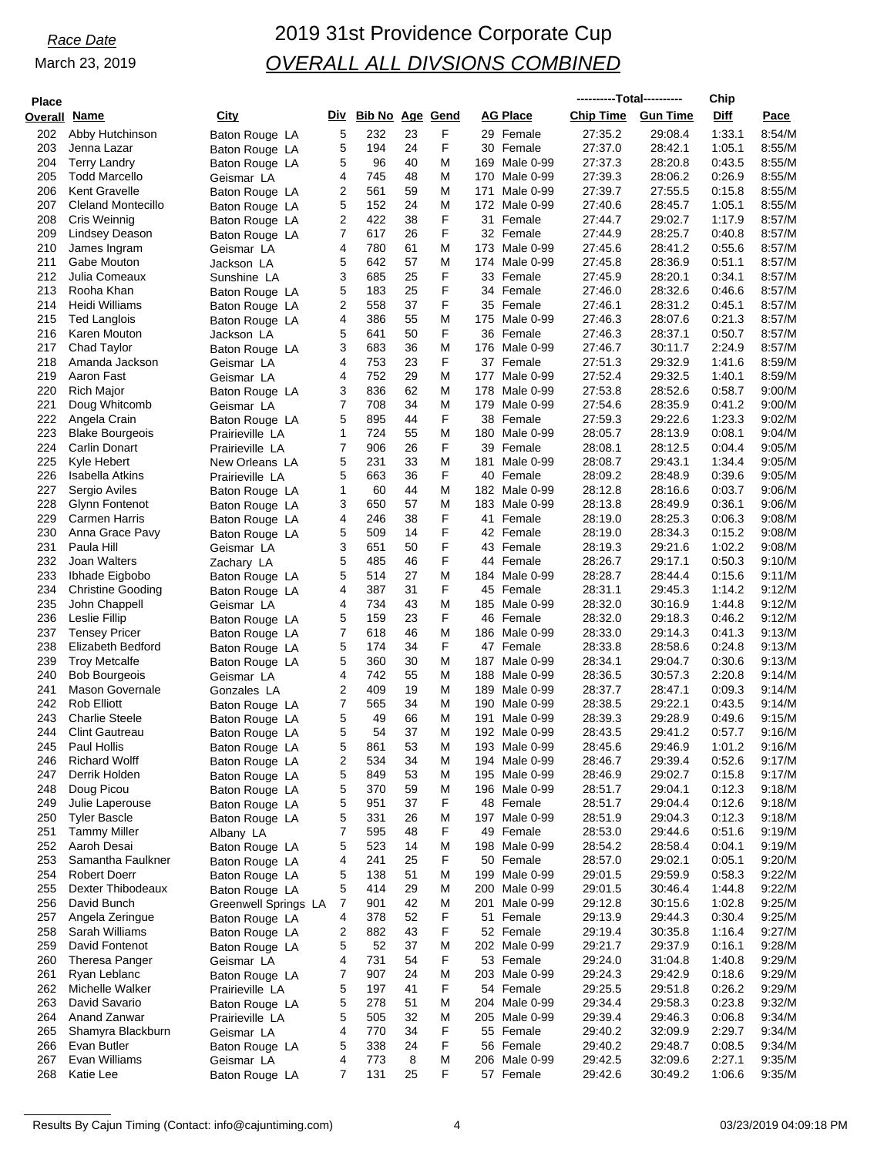| <b>Place</b>        |                          |                      |     |                 |    |   |                 |               | ----------Total---------- |                 | Chip   |        |
|---------------------|--------------------------|----------------------|-----|-----------------|----|---|-----------------|---------------|---------------------------|-----------------|--------|--------|
| <b>Overall Name</b> |                          | City                 | Div | Bib No Age Gend |    |   | <b>AG Place</b> |               | <b>Chip Time</b>          | <b>Gun Time</b> | Diff   | Pace   |
| 202                 | Abby Hutchinson          |                      | 5   | 232             | 23 | F |                 | 29 Female     | 27:35.2                   | 29:08.4         | 1.33.1 | 8:54/M |
| 203                 |                          | Baton Rouge LA       | 5   | 194             | 24 | F |                 | 30 Female     | 27:37.0                   | 28:42.1         | 1:05.1 | 8:55/M |
|                     | Jenna Lazar              | Baton Rouge LA       |     |                 | 40 |   |                 |               |                           |                 |        |        |
| 204                 | <b>Terry Landry</b>      | Baton Rouge LA       | 5   | 96              |    | M |                 | 169 Male 0-99 | 27:37.3                   | 28:20.8         | 0:43.5 | 8:55/M |
| 205                 | <b>Todd Marcello</b>     | Geismar LA           | 4   | 745             | 48 | M |                 | 170 Male 0-99 | 27:39.3                   | 28:06.2         | 0.26.9 | 8:55/M |
| 206                 | Kent Gravelle            | Baton Rouge LA       | 2   | 561             | 59 | M | 171             | Male 0-99     | 27:39.7                   | 27:55.5         | 0:15.8 | 8:55/M |
| 207                 | Cleland Montecillo       | Baton Rouge LA       | 5   | 152             | 24 | M |                 | 172 Male 0-99 | 27:40.6                   | 28:45.7         | 1:05.1 | 8:55/M |
| 208                 | Cris Weinnig             | Baton Rouge LA       | 2   | 422             | 38 | F |                 | 31 Female     | 27:44.7                   | 29:02.7         | 1:17.9 | 8:57/M |
| 209                 | Lindsey Deason           | Baton Rouge LA       | 7   | 617             | 26 | F |                 | 32 Female     | 27:44.9                   | 28:25.7         | 0.40.8 | 8:57/M |
| 210                 | James Ingram             | Geismar LA           | 4   | 780             | 61 | M |                 | 173 Male 0-99 | 27:45.6                   | 28:41.2         | 0.55.6 | 8:57/M |
| 211                 | Gabe Mouton              | Jackson LA           | 5   | 642             | 57 | M |                 | 174 Male 0-99 | 27:45.8                   | 28:36.9         | 0:51.1 | 8:57/M |
| 212                 | Julia Comeaux            | Sunshine LA          | 3   | 685             | 25 | F |                 | 33 Female     | 27:45.9                   | 28:20.1         | 0:34.1 | 8:57/M |
| 213                 | Rooha Khan               | Baton Rouge LA       | 5   | 183             | 25 | F |                 | 34 Female     | 27:46.0                   | 28:32.6         | 0.46.6 | 8:57/M |
| 214                 | Heidi Williams           | Baton Rouge LA       | 2   | 558             | 37 | F |                 | 35 Female     | 27:46.1                   | 28:31.2         | 0:45.1 | 8:57/M |
| 215                 | <b>Ted Langlois</b>      | Baton Rouge LA       | 4   | 386             | 55 | M |                 | 175 Male 0-99 | 27:46.3                   | 28:07.6         | 0:21.3 | 8:57/M |
| 216                 | Karen Mouton             | Jackson LA           | 5   | 641             | 50 | F |                 | 36 Female     | 27:46.3                   | 28:37.1         | 0:50.7 | 8:57/M |
| 217                 | Chad Taylor              | Baton Rouge LA       | 3   | 683             | 36 | M |                 | 176 Male 0-99 | 27:46.7                   | 30:11.7         | 2:24.9 | 8:57/M |
| 218                 | Amanda Jackson           | Geismar LA           | 4   | 753             | 23 | F |                 | 37 Female     | 27:51.3                   | 29:32.9         | 1:41.6 | 8:59/M |
| 219                 | Aaron Fast               | Geismar LA           | 4   | 752             | 29 | M | 177             | Male 0-99     | 27.52.4                   | 29:32.5         | 1:40.1 | 8:59/M |
| 220                 | Rich Major               | Baton Rouge LA       | 3   | 836             | 62 | M | 178             | Male 0-99     | 27:53.8                   | 28:52.6         | 0:58.7 | 9:00/M |
| 221                 | Doug Whitcomb            | Geismar LA           | 7   | 708             | 34 | M |                 | 179 Male 0-99 | 27:54.6                   | 28:35.9         | 0:41.2 | 9:00/M |
| 222                 | Angela Crain             | Baton Rouge LA       | 5   | 895             | 44 | F |                 | 38 Female     | 27:59.3                   | 29:22.6         | 1:23.3 | 9:02/M |
| 223                 | <b>Blake Bourgeois</b>   | Prairieville LA      | 1   | 724             | 55 | M | 180             | Male 0-99     | 28:05.7                   | 28:13.9         | 0:08.1 | 9:04/M |
| 224                 | Carlin Donart            | Prairieville LA      | 7   | 906             | 26 | F |                 | 39 Female     | 28:08.1                   | 28:12.5         | 0:04.4 | 9:05/M |
| 225                 | Kyle Hebert              | New Orleans LA       | 5   | 231             | 33 | M | 181             | Male 0-99     | 28:08.7                   | 29:43.1         | 1:34.4 | 9:05/M |
| 226                 | Isabella Atkins          | Prairieville LA      | 5   | 663             | 36 | F | 40 Female       |               | 28:09.2                   | 28:48.9         | 0.39.6 | 9:05/M |
| 227                 | Sergio Aviles            | Baton Rouge LA       | 1   | 60              | 44 | M |                 | 182 Male 0-99 | 28:12.8                   | 28:16.6         | 0:03.7 | 9:06/M |
| 228                 | Glynn Fontenot           | Baton Rouge LA       | 3   | 650             | 57 | M | 183             | Male 0-99     | 28:13.8                   | 28:49.9         | 0:36.1 | 9.06/M |
| 229                 | <b>Carmen Harris</b>     | Baton Rouge LA       | 4   | 246             | 38 | F | 41 Female       |               | 28:19.0                   | 28:25.3         | 0:06.3 | 9:08/M |
| 230                 | Anna Grace Pavy          |                      | 5   | 509             | 14 | F |                 | 42 Female     | 28:19.0                   | 28:34.3         | 0:15.2 | 9:08/M |
| 231                 | Paula Hill               | Baton Rouge LA       | 3   | 651             | 50 | F | 43              | Female        | 28:19.3                   | 29:21.6         | 1:02.2 | 9:08/M |
| 232                 | Joan Walters             | Geismar LA           | 5   | 485             | 46 | F |                 | 44 Female     | 28:26.7                   | 29:17.1         | 0:50.3 | 9:10/M |
|                     |                          | Zachary LA           |     |                 |    | M |                 |               |                           |                 |        |        |
| 233                 | Ibhade Eigbobo           | Baton Rouge LA       | 5   | 514             | 27 |   |                 | 184 Male 0-99 | 28:28.7                   | 28:44.4         | 0:15.6 | 9:11/M |
| 234                 | <b>Christine Gooding</b> | Baton Rouge LA       | 4   | 387             | 31 | F | 45 Female       |               | 28:31.1                   | 29:45.3         | 1:14.2 | 9:12/M |
| 235                 | John Chappell            | Geismar LA           | 4   | 734             | 43 | M |                 | 185 Male 0-99 | 28:32.0                   | 30:16.9         | 1:44.8 | 9:12/M |
| 236                 | Leslie Fillip            | Baton Rouge LA       | 5   | 159             | 23 | F | 46 Female       |               | 28:32.0                   | 29:18.3         | 0:46.2 | 9:12/M |
| 237                 | <b>Tensey Pricer</b>     | Baton Rouge LA       | 7   | 618             | 46 | M |                 | 186 Male 0-99 | 28:33.0                   | 29:14.3         | 0:41.3 | 9:13/M |
| 238                 | Elizabeth Bedford        | Baton Rouge LA       | 5   | 174             | 34 | F |                 | 47 Female     | 28:33.8                   | 28:58.6         | 0:24.8 | 9:13/M |
| 239                 | <b>Troy Metcalfe</b>     | Baton Rouge LA       | 5   | 360             | 30 | M | 187             | Male 0-99     | 28:34.1                   | 29:04.7         | 0:30.6 | 9:13/M |
| 240                 | <b>Bob Bourgeois</b>     | Geismar LA           | 4   | 742             | 55 | M |                 | 188 Male 0-99 | 28:36.5                   | 30:57.3         | 2:20.8 | 9:14/M |
| 241                 | <b>Mason Governale</b>   | Gonzales LA          | 2   | 409             | 19 | M |                 | 189 Male 0-99 | 28:37.7                   | 28:47.1         | 0:09.3 | 9:14/M |
| 242                 | <b>Rob Elliott</b>       | Baton Rouge LA       | 7   | 565             | 34 | M |                 | 190 Male 0-99 | 28:38.5                   | 29:22.1         | 0:43.5 | 9:14/M |
| 243                 | <b>Charlie Steele</b>    | Baton Rouge LA       | 5   | 49              | 66 | M | 191             | Male 0-99     | 28:39.3                   | 29:28.9         | 0.49.6 | 9:15/M |
| 244                 | <b>Clint Gautreau</b>    | Baton Rouge LA       | 5   | 54              | 37 | M |                 | 192 Male 0-99 | 28:43.5                   | 29:41.2         | 0.57.7 | 9:16/M |
| 245                 | Paul Hollis              | Baton Rouge LA       | 5   | 861             | 53 | M |                 | 193 Male 0-99 | 28:45.6                   | 29:46.9         | 1:01.2 | 9:16/M |
| 246                 | <b>Richard Wolff</b>     | Baton Rouge LA       | 2   | 534             | 34 | M |                 | 194 Male 0-99 | 28:46.7                   | 29:39.4         | 0:52.6 | 9:17/M |
| 247                 | Derrik Holden            | Baton Rouge LA       | 5   | 849             | 53 | M |                 | 195 Male 0-99 | 28:46.9                   | 29:02.7         | 0:15.8 | 9:17/M |
| 248                 | Doug Picou               | Baton Rouge LA       | 5   | 370             | 59 | M |                 | 196 Male 0-99 | 28:51.7                   | 29:04.1         | 0:12.3 | 9:18/M |
| 249                 | Julie Laperouse          | Baton Rouge LA       | 5   | 951             | 37 | F |                 | 48 Female     | 28:51.7                   | 29:04.4         | 0:12.6 | 9:18/M |
| 250                 | <b>Tyler Bascle</b>      | Baton Rouge LA       | 5   | 331             | 26 | M |                 | 197 Male 0-99 | 28:51.9                   | 29:04.3         | 0:12.3 | 9:18/M |
| 251                 | <b>Tammy Miller</b>      | Albany LA            | 7   | 595             | 48 | F | 49 Female       |               | 28:53.0                   | 29:44.6         | 0.51.6 | 9:19/M |
| 252                 | Aaroh Desai              | Baton Rouge LA       | 5   | 523             | 14 | M |                 | 198 Male 0-99 | 28:54.2                   | 28.58.4         | 0:04.1 | 9:19/M |
| 253                 | Samantha Faulkner        | Baton Rouge LA       | 4   | 241             | 25 | F |                 | 50 Female     | 28:57.0                   | 29:02.1         | 0:05.1 | 9:20/M |
| 254                 | <b>Robert Doerr</b>      | Baton Rouge LA       | 5   | 138             | 51 | M |                 | 199 Male 0-99 | 29:01.5                   | 29:59.9         | 0:58.3 | 9:22/M |
| 255                 | Dexter Thibodeaux        | Baton Rouge LA       | 5   | 414             | 29 | M |                 | 200 Male 0-99 | 29:01.5                   | 30:46.4         | 1:44.8 | 9:22/M |
| 256                 | David Bunch              | Greenwell Springs LA | 7   | 901             | 42 | M |                 | 201 Male 0-99 | 29:12.8                   | 30:15.6         | 1:02.8 | 9:25/M |
| 257                 | Angela Zeringue          | Baton Rouge LA       | 4   | 378             | 52 | F | 51              | Female        | 29:13.9                   | 29:44.3         | 0:30.4 | 9:25/M |
| 258                 | Sarah Williams           | Baton Rouge LA       | 2   | 882             | 43 | F | 52 Female       |               | 29:19.4                   | 30:35.8         | 1:16.4 | 9:27/M |
| 259                 | David Fontenot           | Baton Rouge LA       | 5   | 52              | 37 | M |                 | 202 Male 0-99 | 29:21.7                   | 29:37.9         | 0:16.1 | 9:28/M |
| 260                 | Theresa Panger           | Geismar LA           | 4   | 731             | 54 | F | 53 Female       |               | 29:24.0                   | 31:04.8         | 1:40.8 | 9:29/M |
| 261                 | Ryan Leblanc             |                      | 7   | 907             | 24 | M |                 | 203 Male 0-99 | 29:24.3                   | 29:42.9         | 0:18.6 | 9:29/M |
| 262                 |                          | Baton Rouge LA       |     | 197             | 41 | F |                 |               |                           |                 |        |        |
|                     | Michelle Walker          | Prairieville LA      | 5   |                 |    |   | 54 Female       |               | 29:25.5                   | 29:51.8         | 0:26.2 | 9:29/M |
| 263                 | David Savario            | Baton Rouge LA       | 5   | 278             | 51 | M |                 | 204 Male 0-99 | 29:34.4                   | 29:58.3         | 0:23.8 | 9:32/M |
| 264                 | Anand Zanwar             | Prairieville LA      | 5   | 505             | 32 | M |                 | 205 Male 0-99 | 29.39.4                   | 29:46.3         | 0:06.8 | 9:34/M |
| 265                 | Shamyra Blackburn        | Geismar LA           | 4   | 770             | 34 | F |                 | 55 Female     | 29:40.2                   | 32:09.9         | 2:29.7 | 9:34/M |
| 266                 | Evan Butler              | Baton Rouge LA       | 5   | 338             | 24 | F | 56 Female       |               | 29:40.2                   | 29:48.7         | 0:08.5 | 9:34/M |
| 267                 | Evan Williams            | Geismar LA           | 4   | 773             | 8  | M |                 | 206 Male 0-99 | 29:42.5                   | 32:09.6         | 2:27.1 | 9:35/M |
| 268                 | Katie Lee                | Baton Rouge LA       | 7   | 131             | 25 | F | 57 Female       |               | 29:42.6                   | 30:49.2         | 1:06.6 | 9:35/M |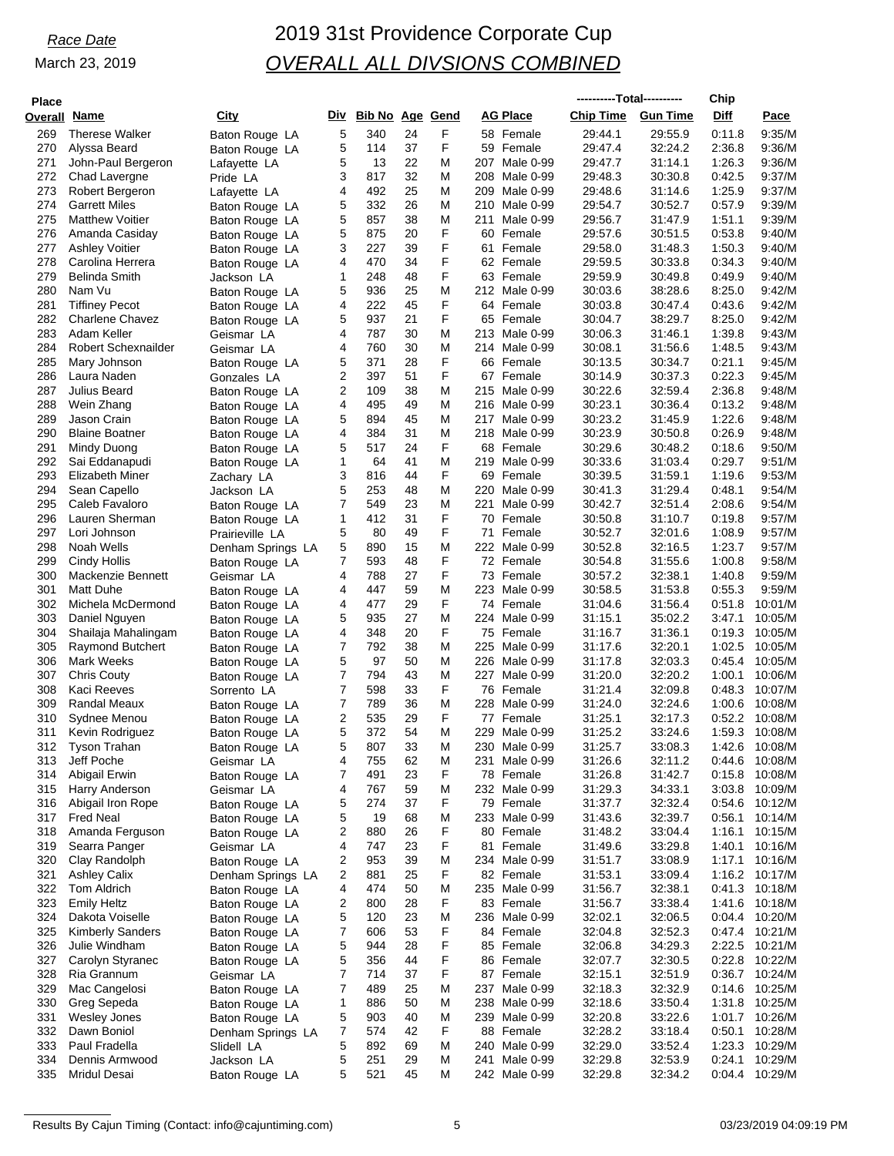# *Race Date* 2019 31st Providence Corporate Cup *OVERALL ALL DIVSIONS COMBINED*

| <b>Place</b> |                                          |                                  |        |                        |          |        |                                   | ----------Total---------- |                    | Chip             |                           |
|--------------|------------------------------------------|----------------------------------|--------|------------------------|----------|--------|-----------------------------------|---------------------------|--------------------|------------------|---------------------------|
| Overall Name |                                          | City                             | Div    | <b>Bib No Age Gend</b> |          |        | <b>AG Place</b>                   | <b>Chip Time</b>          | <b>Gun Time</b>    | Diff             | Pace                      |
| 269          | <b>Therese Walker</b>                    | Baton Rouge LA                   | 5      | 340                    | 24       | F      | 58 Female                         | 29:44.1                   | 29:55.9            | 0:11.8           | 9.35/M                    |
| 270          | Alyssa Beard                             | Baton Rouge LA                   | 5      | 114                    | 37       | F      | 59 Female                         | 29:47.4                   | 32:24.2            | 2:36.8           | 9:36/M                    |
| 271<br>272   | John-Paul Bergeron<br>Chad Lavergne      | Lafayette LA                     | 5<br>3 | 13<br>817              | 22<br>32 | M<br>M | 207<br>Male 0-99<br>208 Male 0-99 | 29:47.7<br>29:48.3        | 31:14.1<br>30:30.8 | 1:26.3<br>0:42.5 | 9:36/M<br>9:37/M          |
| 273          | Robert Bergeron                          | Pride LA<br>Lafayette LA         | 4      | 492                    | 25       | M      | 209 Male 0-99                     | 29:48.6                   | 31:14.6            | 1:25.9           | 9:37/M                    |
| 274          | <b>Garrett Miles</b>                     | Baton Rouge LA                   | 5      | 332                    | 26       | M      | 210<br>Male 0-99                  | 29:54.7                   | 30:52.7            | 0:57.9           | 9:39/M                    |
| 275          | <b>Matthew Voitier</b>                   | Baton Rouge LA                   | 5      | 857                    | 38       | M      | Male 0-99<br>211                  | 29:56.7                   | 31:47.9            | 1:51.1           | 9:39/M                    |
| 276          | Amanda Casiday                           | Baton Rouge LA                   | 5      | 875                    | 20       | F      | 60<br>Female                      | 29:57.6                   | 30:51.5            | 0:53.8           | 9:40/M                    |
| 277          | <b>Ashley Voitier</b>                    | Baton Rouge LA                   | 3      | 227                    | 39       | F      | 61 Female                         | 29:58.0                   | 31:48.3            | 1:50.3           | 9:40/M                    |
| 278<br>279   | Carolina Herrera<br><b>Belinda Smith</b> | Baton Rouge LA<br>Jackson LA     | 4<br>1 | 470<br>248             | 34<br>48 | F<br>F | 62 Female<br>63 Female            | 29:59.5<br>29:59.9        | 30:33.8<br>30:49.8 | 0:34.3<br>0:49.9 | 9:40/M<br>9:40/M          |
| 280          | Nam Vu                                   | Baton Rouge LA                   | 5      | 936                    | 25       | M      | 212 Male 0-99                     | 30:03.6                   | 38.28.6            | 8:25.0           | 9:42/M                    |
| 281          | <b>Tiffiney Pecot</b>                    | Baton Rouge LA                   | 4      | 222                    | 45       | F      | 64 Female                         | 30:03.8                   | 30:47.4            | 0:43.6           | 9:42/M                    |
| 282          | <b>Charlene Chavez</b>                   | Baton Rouge LA                   | 5      | 937                    | 21       | F      | 65 Female                         | 30:04.7                   | 38:29.7            | 8:25.0           | 9:42/M                    |
| 283          | Adam Keller                              | Geismar LA                       | 4      | 787                    | 30       | M      | 213 Male 0-99                     | 30:06.3                   | 31:46.1            | 1:39.8           | 9:43/M                    |
| 284          | Robert Schexnailder                      | Geismar LA                       | 4      | 760                    | 30       | M<br>F | 214<br>Male 0-99                  | 30:08.1                   | 31:56.6            | 1:48.5           | 9:43/M                    |
| 285<br>286   | Mary Johnson<br>Laura Naden              | Baton Rouge LA<br>Gonzales LA    | 5<br>2 | 371<br>397             | 28<br>51 | F      | 66 Female<br>67 Female            | 30:13.5<br>30:14.9        | 30:34.7<br>30:37.3 | 0:21.1<br>0:22.3 | 9:45/M<br>9:45/M          |
| 287          | Julius Beard                             | Baton Rouge LA                   | 2      | 109                    | 38       | M      | 215 Male 0-99                     | 30:22.6                   | 32:59.4            | 2:36.8           | 9:48/M                    |
| 288          | Wein Zhang                               | Baton Rouge LA                   | 4      | 495                    | 49       | M      | 216 Male 0-99                     | 30:23.1                   | 30:36.4            | 0:13.2           | 9:48/M                    |
| 289          | Jason Crain                              | Baton Rouge LA                   | 5      | 894                    | 45       | M      | 217<br>Male 0-99                  | 30:23.2                   | 31:45.9            | 1:22.6           | 9:48/M                    |
| 290          | <b>Blaine Boatner</b>                    | Baton Rouge LA                   | 4      | 384                    | 31       | M      | 218 Male 0-99                     | 30:23.9                   | 30:50.8            | 0:26.9           | 9:48/M                    |
| 291<br>292   | Mindy Duong                              | Baton Rouge LA                   | 5      | 517                    | 24<br>41 | F<br>M | 68 Female                         | 30:29.6<br>30:33.6        | 30:48.2<br>31:03.4 | 0:18.6<br>0.29.7 | 9:50/M<br>9:51/M          |
| 293          | Sai Eddanapudi<br>Elizabeth Miner        | Baton Rouge LA<br>Zachary LA     | 1<br>3 | 64<br>816              | 44       | F      | 219 Male 0-99<br>69 Female        | 30:39.5                   | 31:59.1            | 1:19.6           | 9.53/M                    |
| 294          | Sean Capello                             | Jackson LA                       | 5      | 253                    | 48       | M      | 220<br>Male 0-99                  | 30:41.3                   | 31:29.4            | 0:48.1           | 9:54/M                    |
| 295          | Caleb Favaloro                           | Baton Rouge LA                   | 7      | 549                    | 23       | M      | 221<br>Male 0-99                  | 30:42.7                   | 32:51.4            | 2:08.6           | 9:54/M                    |
| 296          | Lauren Sherman                           | Baton Rouge LA                   | 1      | 412                    | 31       | F      | 70 Female                         | 30:50.8                   | 31:10.7            | 0:19.8           | 9.57/M                    |
| 297          | Lori Johnson                             | Prairieville LA                  | 5      | 80                     | 49       | F      | 71<br>Female                      | 30:52.7                   | 32:01.6            | 1:08.9           | 9:57/M                    |
| 298<br>299   | Noah Wells<br>Cindy Hollis               | Denham Springs LA                | 5<br>7 | 890<br>593             | 15<br>48 | M<br>F | 222 Male 0-99<br>72 Female        | 30:52.8<br>30:54.8        | 32:16.5<br>31:55.6 | 1:23.7<br>1:00.8 | 9:57/M<br>9:58/M          |
| 300          | Mackenzie Bennett                        | Baton Rouge LA<br>Geismar LA     | 4      | 788                    | 27       | F      | 73 Female                         | 30:57.2                   | 32:38.1            | 1:40.8           | 9:59/M                    |
| 301          | Matt Duhe                                | Baton Rouge LA                   | 4      | 447                    | 59       | M      | 223 Male 0-99                     | 30:58.5                   | 31:53.8            | 0:55.3           | 9:59/M                    |
| 302          | Michela McDermond                        | Baton Rouge LA                   | 4      | 477                    | 29       | F      | 74 Female                         | 31:04.6                   | 31:56.4            | 0:51.8           | 10:01/M                   |
| 303          | Daniel Nguyen                            | Baton Rouge LA                   | 5      | 935                    | 27       | M      | 224 Male 0-99                     | 31:15.1                   | 35:02.2            | 3:47.1           | 10:05/M                   |
| 304          | Shailaja Mahalingam                      | Baton Rouge LA                   | 4      | 348                    | 20       | F      | 75 Female                         | 31:16.7                   | 31:36.1            | 0:19.3           | 10:05/M                   |
| 305<br>306   | Raymond Butchert<br><b>Mark Weeks</b>    | Baton Rouge LA                   | 7<br>5 | 792<br>97              | 38<br>50 | M<br>M | 225 Male 0-99<br>226 Male 0-99    | 31:17.6<br>31:17.8        | 32:20.1<br>32:03.3 | 1:02.5<br>0.45.4 | 10:05/M<br>10:05/M        |
| 307          | <b>Chris Couty</b>                       | Baton Rouge LA<br>Baton Rouge LA | 7      | 794                    | 43       | M      | 227 Male 0-99                     | 31:20.0                   | 32:20.2            | 1:00.1           | 10:06/M                   |
| 308          | Kaci Reeves                              | Sorrento LA                      | 7      | 598                    | 33       | F      | 76 Female                         | 31:21.4                   | 32:09.8            | 0.48.3           | 10:07/M                   |
| 309          | <b>Randal Meaux</b>                      | Baton Rouge LA                   | 7      | 789                    | 36       | M      | 228 Male 0-99                     | 31:24.0                   | 32:24.6            | 1:00.6           | 10:08/M                   |
| 310          | Sydnee Menou                             | Baton Rouge LA                   | 2      | 535                    | 29       | F      | 77 Female                         | 31:25.1                   | 32:17.3            | 0:52.2           | 10:08/M                   |
| 311          | Kevin Rodriguez                          | Baton Rouge LA                   | 5      | 372                    | 54       | M      | 229 Male 0-99                     | 31:25.2                   | 33:24.6            | 1:59.3           | 10:08/M                   |
| 312<br>313   | Tyson Trahan<br>Jeff Poche               | Baton Rouge LA<br>Geismar LA     | 5<br>4 | 807<br>755             | 33<br>62 | M<br>M | 230 Male 0-99<br>231<br>Male 0-99 | 31:25.7<br>31:26.6        | 33:08.3<br>32:11.2 | 1:42.6<br>0:44.6 | 10:08/M<br>10:08/M        |
| 314          | Abigail Erwin                            | Baton Rouge LA                   | 7      | 491                    | 23       | F      | 78 Female                         | 31:26.8                   | 31:42.7            | 0:15.8           | 10:08/M                   |
| 315          | Harry Anderson                           | Geismar LA                       | 4      | 767                    | 59       | M      | 232 Male 0-99                     | 31:29.3                   | 34:33.1            | 3:03.8           | 10:09/M                   |
| 316          | Abigail Iron Rope                        | Baton Rouge LA                   | 5      | 274                    | 37       | F      | 79 Female                         | 31:37.7                   | 32:32.4            | 0.54.6           | 10:12/M                   |
| 317          | <b>Fred Neal</b>                         | Baton Rouge LA                   | 5      | 19                     | 68       | M      | 233 Male 0-99                     | 31:43.6                   | 32:39.7            | 0:56.1           | 10:14/M                   |
| 318          | Amanda Ferguson                          | Baton Rouge LA                   | 2      | 880                    | 26       | F<br>F | 80 Female                         | 31:48.2<br>31:49.6        | 33.04.4            | 1:16.1           | 10:15/M                   |
| 319<br>320   | Searra Panger<br>Clay Randolph           | Geismar LA<br>Baton Rouge LA     | 4<br>2 | 747<br>953             | 23<br>39 | M      | 81 Female<br>234 Male 0-99        | 31:51.7                   | 33.29.8<br>33:08.9 | 1:40.1<br>1:17.1 | 10:16/M<br>10:16/M        |
| 321          | <b>Ashley Calix</b>                      | Denham Springs LA                | 2      | 881                    | 25       | F      | 82 Female                         | 31:53.1                   | 33:09.4            | 1:16.2           | 10:17/M                   |
| 322          | Tom Aldrich                              | Baton Rouge LA                   | 4      | 474                    | 50       | M      | 235 Male 0-99                     | 31:56.7                   | 32:38.1            | 0:41.3           | 10:18/M                   |
| 323          | <b>Emily Heltz</b>                       | Baton Rouge LA                   | 2      | 800                    | 28       | F      | 83 Female                         | 31:56.7                   | 33:38.4            | 1:41.6           | 10:18/M                   |
| 324          | Dakota Voiselle                          | Baton Rouge LA                   | 5      | 120                    | 23       | M      | 236 Male 0-99                     | 32:02.1                   | 32:06.5            |                  | 0:04.4 10:20/M            |
| 325          | <b>Kimberly Sanders</b>                  | Baton Rouge LA                   | 7      | 606                    | 53       | F      | 84 Female                         | 32:04.8                   | 32:52.3            |                  | 0:47.4 10:21/M            |
| 326<br>327   | Julie Windham<br>Carolyn Styranec        | Baton Rouge LA<br>Baton Rouge LA | 5<br>5 | 944<br>356             | 28<br>44 | F<br>F | 85 Female<br>86 Female            | 32:06.8<br>32:07.7        | 34:29.3<br>32:30.5 | 0:22.8           | 2:22.5 10:21/M<br>10:22/M |
| 328          | Ria Grannum                              | Geismar LA                       | 7      | 714                    | 37       | F      | 87 Female                         | 32:15.1                   | 32:51.9            |                  | 0:36.7 10:24/M            |
| 329          | Mac Cangelosi                            | Baton Rouge LA                   | 7      | 489                    | 25       | M      | 237 Male 0-99                     | 32:18.3                   | 32:32.9            | 0.14.6           | 10:25/M                   |
| 330          | Greg Sepeda                              | Baton Rouge LA                   | 1      | 886                    | 50       | M      | 238 Male 0-99                     | 32:18.6                   | 33.50.4            | 1:31.8           | 10:25/M                   |
| 331          | Wesley Jones                             | Baton Rouge LA                   | 5      | 903                    | 40       | M      | 239 Male 0-99                     | 32:20.8                   | 33.22.6            |                  | 1:01.7 10:26/M            |
| 332<br>333   | Dawn Boniol<br>Paul Fradella             | Denham Springs LA                | 7<br>5 | 574<br>892             | 42<br>69 | F<br>M | 88 Female<br>240 Male 0-99        | 32:28.2                   | 33:18.4<br>33.52.4 | 0:50.1<br>1:23.3 | 10:28/M<br>10:29/M        |
| 334          | Dennis Armwood                           | Slidell LA<br>Jackson LA         | 5      | 251                    | 29       | M      | 241<br>Male 0-99                  | 32:29.0<br>32:29.8        | 32:53.9            | 0:24.1           | 10:29/M                   |
| 335          | Mridul Desai                             | Baton Rouge LA                   | 5      | 521                    | 45       | M      | 242 Male 0-99                     | 32:29.8                   | 32:34.2            | 0:04.4           | 10:29/M                   |
|              |                                          |                                  |        |                        |          |        |                                   |                           |                    |                  |                           |

Results By Cajun Timing (Contact: info@cajuntiming.com) 6 03/23/2019 04:09:19 PM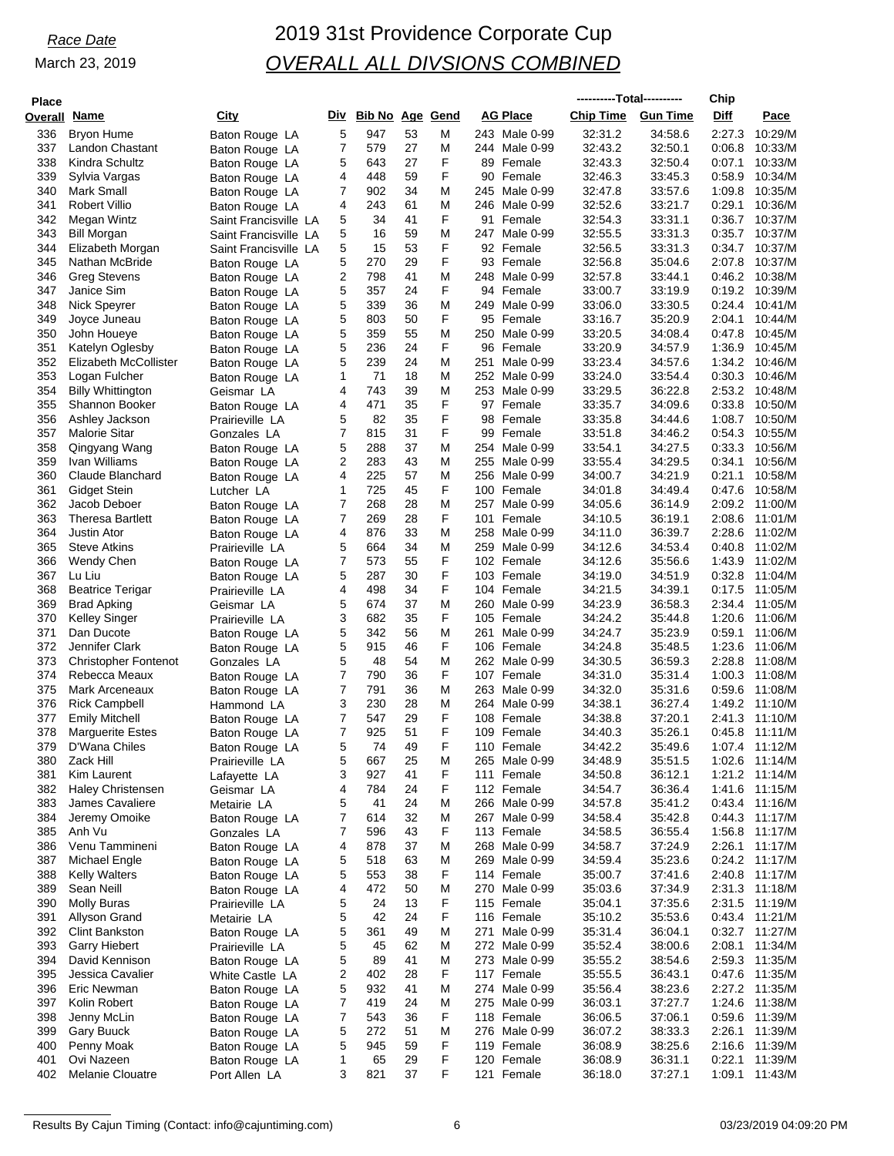| <b>Place</b>        |                             |                               |        |                     |          |        |                          |           | ----------Total---------- |                    | Chip             |                    |
|---------------------|-----------------------------|-------------------------------|--------|---------------------|----------|--------|--------------------------|-----------|---------------------------|--------------------|------------------|--------------------|
| <b>Overall Name</b> |                             | <b>City</b>                   |        | Div Bib No Age Gend |          |        | <b>AG Place</b>          |           | Chip Time                 | <b>Gun Time</b>    | Diff             | Pace               |
| 336                 | <b>Bryon Hume</b>           | Baton Rouge LA                | 5      | 947                 | 53       | M      | 243 Male 0-99            |           | 32:31.2                   | 34:58.6            | 2:27.3           | 10:29/M            |
| 337                 | <b>Landon Chastant</b>      | Baton Rouge LA                | 7      | 579                 | 27       | M      | 244 Male 0-99            |           | 32:43.2                   | 32:50.1            | 0:06.8           | 10:33/M            |
| 338                 | Kindra Schultz              | Baton Rouge LA                | 5      | 643                 | 27       | F      | 89 Female                |           | 32:43.3                   | 32:50.4            | 0:07.1           | 10:33/M            |
| 339                 | Sylvia Vargas               | Baton Rouge LA                | 4      | 448                 | 59       | F      | 90 Female                |           | 32:46.3                   | 33:45.3            | 0.58.9           | 10:34/M            |
| 340                 | Mark Small                  | Baton Rouge LA                | 7      | 902                 | 34       | M      | 245 Male 0-99            |           | 32:47.8                   | 33:57.6            | 1:09.8           | 10:35/M            |
| 341                 | <b>Robert Villio</b>        | Baton Rouge LA                | 4      | 243                 | 61       | M      | 246 Male 0-99            |           | 32:52.6                   | 33:21.7            | 0:29.1           | 10:36/M            |
| 342                 | Megan Wintz                 | Saint Francisville LA         | 5      | 34                  | 41       | F      | 91 Female                |           | 32:54.3                   | 33:31.1            | 0:36.7           | 10:37/M            |
| 343                 | <b>Bill Morgan</b>          | Saint Francisville LA         | 5      | 16                  | 59       | M      | 247 Male 0-99            |           | 32:55.5                   | 33:31.3            | 0:35.7           | 10:37/M            |
| 344                 | Elizabeth Morgan            | Saint Francisville LA         | 5      | 15                  | 53       | F      | 92 Female                |           | 32:56.5                   | 33:31.3            | 0:34.7           | 10:37/M            |
| 345                 | Nathan McBride              | Baton Rouge LA                | 5      | 270                 | 29       | F      | 93 Female                |           | 32:56.8                   | 35:04.6            | 2:07.8           | 10:37/M            |
| 346                 | <b>Greg Stevens</b>         | Baton Rouge LA                | 2      | 798                 | 41       | M      | 248 Male 0-99            |           | 32:57.8                   | 33:44.1            | 0.46.2           | 10:38/M            |
| 347                 | Janice Sim                  | Baton Rouge LA                | 5      | 357                 | 24       | F      | 94 Female                |           | 33:00.7                   | 33:19.9            | 0:19.2           | 10:39/M            |
| 348                 | Nick Speyrer                | Baton Rouge LA                | 5      | 339                 | 36       | M      | 249 Male 0-99            |           | 33:06.0                   | 33:30.5            | 0:24.4           | 10:41/M            |
| 349                 | Joyce Juneau                | Baton Rouge LA                | 5      | 803                 | 50       | F      | 95 Female                |           | 33:16.7                   | 35:20.9            | 2:04.1           | 10:44/M            |
| 350                 | John Houeye                 | Baton Rouge LA                | 5      | 359                 | 55       | M      | 250 Male 0-99            |           | 33:20.5                   | 34:08.4            | 0.47.8           | 10:45/M            |
| 351                 | Katelyn Oglesby             | Baton Rouge LA                | 5      | 236                 | 24       | F      | 96 Female                |           | 33:20.9                   | 34:57.9            | 1:36.9           | 10:45/M            |
| 352                 | Elizabeth McCollister       | Baton Rouge LA                | 5      | 239                 | 24       | M      | 251                      | Male 0-99 | 33.23.4                   | 34.57.6            | 1:34.2           | 10:46/M            |
| 353                 | Logan Fulcher               | Baton Rouge LA                | 1      | 71                  | 18       | M      | 252 Male 0-99            |           | 33:24.0                   | 33:54.4            | 0:30.3           | 10:46/M            |
| 354                 | <b>Billy Whittington</b>    | Geismar LA                    | 4      | 743                 | 39       | M      | 253 Male 0-99            |           | 33.29.5                   | 36:22.8            | 2:53.2           | 10:48/M            |
| 355                 | <b>Shannon Booker</b>       | Baton Rouge LA                | 4      | 471                 | 35       | F      | 97 Female                |           | 33:35.7                   | 34:09.6            | 0:33.8           | 10:50/M            |
| 356                 | Ashley Jackson              | Prairieville LA               | 5      | 82                  | 35       | F      | 98 Female                |           | 33.35.8                   | 34:44.6            | 1:08.7           | 10:50/M            |
| 357                 | <b>Malorie Sitar</b>        | Gonzales LA                   | 7      | 815                 | 31       | F      | 99 Female                |           | 33.51.8                   | 34:46.2            | 0:54.3           | 10:55/M            |
| 358                 | Qingyang Wang               | Baton Rouge LA                | 5      | 288                 | 37       | M      | 254 Male 0-99            |           | 33:54.1                   | 34:27.5            | 0.33.3           | 10:56/M            |
| 359                 | Ivan Williams               | Baton Rouge LA                | 2      | 283                 | 43       | M      | 255 Male 0-99            |           | 33:55.4                   | 34:29.5            | 0:34.1           | 10:56/M            |
| 360                 | Claude Blanchard            | Baton Rouge LA                | 4      | 225                 | 57       | M      | 256 Male 0-99            |           | 34:00.7                   | 34:21.9            | 0:21.1           | 10:58/M            |
| 361                 | Gidget Stein                | Lutcher LA                    | 1      | 725                 | 45       | F      | 100 Female               |           | 34:01.8                   | 34:49.4            | 0.47.6           | 10:58/M            |
| 362                 | Jacob Deboer                | Baton Rouge LA                | 7      | 268                 | 28       | M      | 257                      | Male 0-99 | 34:05.6                   | 36:14.9            | 2:09.2           | 11:00/M            |
| 363                 | <b>Theresa Bartlett</b>     | Baton Rouge LA                | 7      | 269                 | 28       | F      | 101 Female               |           | 34:10.5                   | 36:19.1            | 2:08.6           | 11:01/M            |
| 364                 | <b>Justin Ator</b>          | Baton Rouge LA                | 4      | 876                 | 33       | M      | 258 Male 0-99            |           | 34:11.0                   | 36:39.7            | 2:28.6           | 11:02/M            |
| 365                 | <b>Steve Atkins</b>         | Prairieville LA               | 5      | 664<br>573          | 34<br>55 | M<br>F | 259 Male 0-99            |           | 34:12.6                   | 34:53.4<br>35:56.6 | 0.40.8           | 11:02/M<br>11:02/M |
| 366<br>367          | Wendy Chen<br>Lu Liu        | Baton Rouge LA                | 7<br>5 | 287                 | 30       | F      | 102 Female<br>103 Female |           | 34:12.6                   | 34:51.9            | 1:43.9<br>0.32.8 | 11:04/M            |
| 368                 | <b>Beatrice Terigar</b>     | Baton Rouge LA                | 4      | 498                 | 34       | F      | 104 Female               |           | 34:19.0<br>34:21.5        | 34:39.1            | 0:17.5           | 11:05/M            |
| 369                 | <b>Brad Apking</b>          | Prairieville LA<br>Geismar LA | 5      | 674                 | 37       | M      | 260 Male 0-99            |           | 34:23.9                   | 36:58.3            | 2:34.4           | 11:05/M            |
| 370                 | Kelley Singer               | Prairieville LA               | 3      | 682                 | 35       | F      | 105 Female               |           | 34:24.2                   | 35:44.8            | 1:20.6           | 11:06/M            |
| 371                 | Dan Ducote                  | Baton Rouge LA                | 5      | 342                 | 56       | M      | 261 Male 0-99            |           | 34:24.7                   | 35:23.9            | 0:59.1           | 11:06/M            |
| 372                 | Jennifer Clark              | Baton Rouge LA                | 5      | 915                 | 46       | F      | 106 Female               |           | 34:24.8                   | 35:48.5            | 1:23.6           | 11:06/M            |
| 373                 | <b>Christopher Fontenot</b> | Gonzales LA                   | 5      | 48                  | 54       | M      | 262 Male 0-99            |           | 34:30.5                   | 36:59.3            | 2:28.8           | 11:08/M            |
| 374                 | Rebecca Meaux               | Baton Rouge LA                | 7      | 790                 | 36       | F      | 107 Female               |           | 34:31.0                   | 35:31.4            | 1:00.3           | 11:08/M            |
| 375                 | Mark Arceneaux              | Baton Rouge LA                | 7      | 791                 | 36       | M      | 263 Male 0-99            |           | 34:32.0                   | 35:31.6            | 0.59.6           | 11:08/M            |
| 376                 | <b>Rick Campbell</b>        | Hammond LA                    | 3      | 230                 | 28       | M      | 264 Male 0-99            |           | 34:38.1                   | 36:27.4            | 1:49.2           | 11:10/M            |
| 377                 | <b>Emily Mitchell</b>       | Baton Rouge LA                | 7      | 547                 | 29       | F      | 108 Female               |           | 34:38.8                   | 37:20.1            | 2:41.3           | 11:10/M            |
| 378                 | <b>Marguerite Estes</b>     | Baton Rouge LA                | 7      | 925                 | 51       | F      | 109 Female               |           | 34:40.3                   | 35:26.1            | 0.45.8           | 11:11/M            |
| 379                 | D'Wana Chiles               | Baton Rouge LA                | 5      | 74                  | 49       | F      | 110 Female               |           | 34:42.2                   | 35:49.6            |                  | 1:07.4 11:12/M     |
| 380                 | Zack Hill                   | Prairieville LA               | 5      | 667                 | 25       | M      | 265 Male 0-99            |           | 34:48.9                   | 35:51.5            |                  | 1:02.6 11:14/M     |
| 381                 | Kim Laurent                 | Lafayette LA                  | 3      | 927                 | 41       | F      | 111 Female               |           | 34:50.8                   | 36:12.1            |                  | 1:21.2 11:14/M     |
| 382                 | <b>Haley Christensen</b>    | Geismar LA                    | 4      | 784                 | 24       | F      | 112 Female               |           | 34:54.7                   | 36:36.4            |                  | 1:41.6 11:15/M     |
| 383                 | James Cavaliere             | Metairie LA                   | 5      | 41                  | 24       | M      | 266 Male 0-99            |           | 34:57.8                   | 35:41.2            |                  | 0:43.4 11:16/M     |
| 384                 | Jeremy Omoike               | Baton Rouge LA                | 7      | 614                 | 32       | M      | 267 Male 0-99            |           | 34:58.4                   | 35:42.8            |                  | 0:44.3 11:17/M     |
| 385                 | Anh Vu                      | Gonzales LA                   | 7      | 596                 | 43       | F      | 113 Female               |           | 34:58.5                   | 36:55.4            |                  | 1:56.8 11:17/M     |
| 386                 | Venu Tammineni              | Baton Rouge LA                | 4      | 878                 | 37       | M      | 268 Male 0-99            |           | 34.58.7                   | 37:24.9            |                  | 2:26.1 11:17/M     |
| 387                 | Michael Engle               | Baton Rouge LA                | 5      | 518                 | 63       | M      | 269 Male 0-99            |           | 34.59.4                   | 35:23.6            |                  | 0:24.2 11:17/M     |
| 388                 | <b>Kelly Walters</b>        | Baton Rouge LA                | 5      | 553                 | 38       | F      | 114 Female               |           | 35:00.7                   | 37:41.6            |                  | 2:40.8 11:17/M     |
| 389                 | Sean Neill                  | Baton Rouge LA                | 4      | 472                 | 50       | M      | 270 Male 0-99            |           | 35:03.6                   | 37:34.9            |                  | 2:31.3 11:18/M     |
| 390                 | <b>Molly Buras</b>          | Prairieville LA               | 5      | 24                  | 13       | F      | 115 Female               |           | 35:04.1                   | 37:35.6            |                  | 2:31.5 11:19/M     |
| 391                 | Allyson Grand               | Metairie LA                   | 5      | 42                  | 24       | F      | 116 Female               |           | 35:10.2                   | 35:53.6            |                  | 0:43.4 11:21/M     |
| 392                 | <b>Clint Bankston</b>       | Baton Rouge LA                | 5      | 361                 | 49       | M      | 271 Male 0-99            |           | 35:31.4                   | 36:04.1            |                  | 0:32.7 11:27/M     |
| 393                 | <b>Garry Hiebert</b>        | Prairieville LA               | 5      | 45                  | 62       | M      | 272 Male 0-99            |           | 35:52.4                   | 38:00.6            |                  | 2:08.1 11:34/M     |
| 394                 | David Kennison              | Baton Rouge LA                | 5      | 89                  | 41       | M      | 273 Male 0-99            |           | 35:55.2                   | 38:54.6            |                  | 2:59.3 11:35/M     |
| 395                 | Jessica Cavalier            | White Castle LA               | 2      | 402                 | 28       | F      | 117 Female               |           | 35:55.5                   | 36:43.1            |                  | 0:47.6 11:35/M     |
| 396                 | Eric Newman                 | Baton Rouge LA                | 5      | 932                 | 41       | M      | 274 Male 0-99            |           | 35:56.4                   | 38:23.6            |                  | 2:27.2 11:35/M     |
| 397                 | Kolin Robert                | Baton Rouge LA                | 7      | 419                 | 24       | M      | 275 Male 0-99            |           | 36:03.1                   | 37:27.7            |                  | 1:24.6 11:38/M     |
| 398                 | Jenny McLin                 | Baton Rouge LA                | 7      | 543                 | 36       | F      | 118 Female               |           | 36:06.5                   | 37:06.1            |                  | 0:59.6 11:39/M     |
| 399                 | Gary Buuck                  | Baton Rouge LA                | 5      | 272                 | 51       | M      | 276 Male 0-99            |           | 36:07.2                   | 38:33.3            |                  | 2:26.1 11:39/M     |
| 400                 | Penny Moak                  | Baton Rouge LA                | 5      | 945                 | 59       | F      | 119 Female               |           | 36:08.9                   | 38:25.6            | 2:16.6           | 11:39/M            |
| 401                 | Ovi Nazeen                  | Baton Rouge LA                | 1      | 65                  | 29       | F      | 120 Female               |           | 36:08.9                   | 36:31.1            | 0:22.1           | 11:39/M            |
| 402                 | Melanie Clouatre            | Port Allen LA                 | 3      | 821                 | 37       | F      | 121 Female               |           | 36:18.0                   | 37:27.1            |                  | 1:09.1 11:43/M     |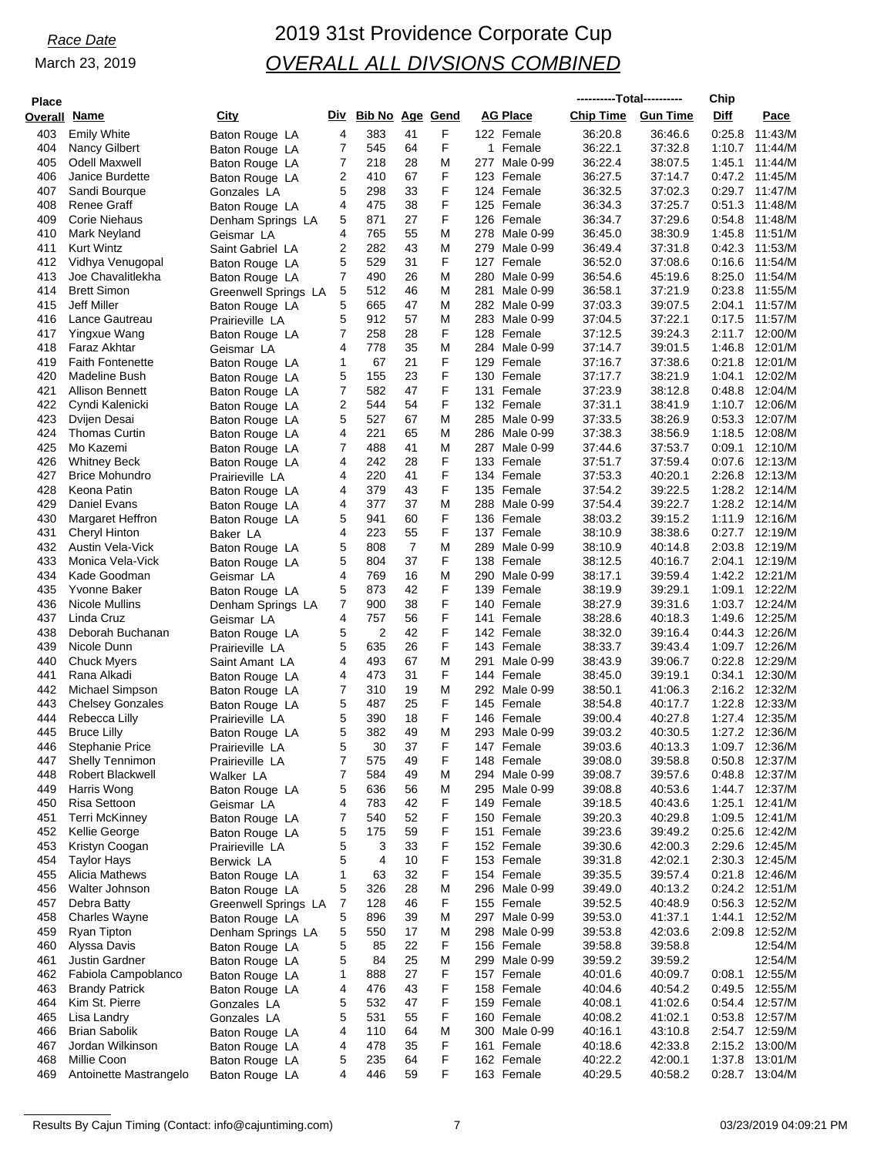# *Race Date* 2019 31st Providence Corporate Cup *OVERALL ALL DIVSIONS COMBINED*

| <b>Place</b> |                            |                             |   |                     |                |        |            |                                | ----------Total---------- |                 | Chip        |                  |
|--------------|----------------------------|-----------------------------|---|---------------------|----------------|--------|------------|--------------------------------|---------------------------|-----------------|-------------|------------------|
| Overall Name |                            | City                        |   | Div Bib No Age Gend |                |        | AG Place   |                                | Chip Time                 | <b>Gun Time</b> | <b>Diff</b> | Pace             |
| 403          | <b>Emily White</b>         | Baton Rouge LA              | 4 | 383                 | 41             | F      | 122 Female |                                | 36:20.8                   | 36:46.6         | 0.25.8      | 11:43/M          |
| 404          | Nancy Gilbert              | Baton Rouge LA              | 7 | 545                 | 64             | F      |            | 1 Female                       | 36:22.1                   | 37:32.8         | 1:10.7      | 11:44/M          |
| 405          | Odell Maxwell              | Baton Rouge LA              | 7 | 218                 | 28             | M      |            | 277 Male 0-99                  | 36:22.4                   | 38:07.5         | 1:45.1      | 11:44/M          |
| 406          | Janice Burdette            |                             | 2 | 410                 | 67             | F      | 123 Female |                                | 36:27.5                   | 37:14.7         | 0:47.2      | 11:45/M          |
| 407          | Sandi Bourque              | Baton Rouge LA              | 5 | 298                 | 33             | F      | 124 Female |                                | 36:32.5                   | 37:02.3         | 0:29.7      | 11:47/M          |
| 408          | Renee Graff                | Gonzales LA                 | 4 | 475                 | 38             | F      | 125 Female |                                | 36:34.3                   | 37:25.7         | 0:51.3      | 11:48/M          |
| 409          | Corie Niehaus              | Baton Rouge LA              | 5 | 871                 | 27             | F      | 126 Female |                                | 36:34.7                   | 37:29.6         | 0:54.8      | 11:48/M          |
| 410          |                            | Denham Springs LA           | 4 | 765                 | 55             | M      |            | 278 Male 0-99                  |                           | 38:30.9         | 1:45.8      | 11:51/M          |
| 411          | Mark Neyland<br>Kurt Wintz | Geismar LA                  | 2 | 282                 | 43             | M      |            | 279 Male 0-99                  | 36:45.0                   | 37:31.8         | 0.42.3      | 11:53/M          |
| 412          |                            | Saint Gabriel LA            | 5 | 529                 | 31             | F      | 127 Female |                                | 36:49.4                   | 37:08.6         | 0:16.6      | 11:54/M          |
|              | Vidhya Venugopal           | Baton Rouge LA              | 7 | 490                 | 26             | M      |            |                                | 36:52.0<br>36:54.6        | 45:19.6         | 8:25.0      | 11:54/M          |
| 413          | Joe Chavalitlekha          | Baton Rouge LA              |   |                     |                |        |            | 280 Male 0-99<br>281 Male 0-99 |                           |                 |             |                  |
| 414          | <b>Brett Simon</b>         | Greenwell Springs LA        | 5 | 512                 | 46<br>47       | Μ      |            |                                | 36:58.1                   | 37:21.9         | 0:23.8      | 11:55/M          |
| 415          | <b>Jeff Miller</b>         | Baton Rouge LA              | 5 | 665                 | 57             | M      |            | 282 Male 0-99                  | 37:03.3                   | 39:07.5         | 2:04.1      | 11:57/M          |
| 416          | Lance Gautreau             | Prairieville LA             | 5 | 912                 | 28             | M<br>F |            | 283 Male 0-99                  | 37:04.5                   | 37:22.1         | 0:17.5      | 11:57/M          |
| 417          | Yingxue Wang               | Baton Rouge LA              | 7 | 258                 |                |        | 128 Female |                                | 37:12.5                   | 39:24.3         | 2:11.7      | 12:00/M          |
| 418          | Faraz Akhtar               | Geismar LA                  | 4 | 778                 | 35<br>21       | M      |            | 284 Male 0-99                  | 37:14.7                   | 39:01.5         | 1:46.8      | 12:01/M          |
| 419          | <b>Faith Fontenette</b>    | Baton Rouge LA              | 1 | 67                  |                | F      | 129 Female |                                | 37:16.7                   | 37:38.6         | 0:21.8      | 12:01/M          |
| 420          | Madeline Bush              | Baton Rouge LA              | 5 | 155                 | 23             | F      | 130 Female |                                | 37:17.7                   | 38:21.9         | 1:04.1      | 12:02/M          |
| 421          | <b>Allison Bennett</b>     | Baton Rouge LA              | 7 | 582                 | 47             | F      | 131 Female |                                | 37:23.9                   | 38:12.8         | 0.48.8      | 12:04/M          |
| 422          | Cyndi Kalenicki            | Baton Rouge LA              | 2 | 544                 | 54             | F      | 132 Female |                                | 37:31.1                   | 38:41.9         |             | 1:10.7 12:06/M   |
| 423          | Dvijen Desai               | Baton Rouge LA              | 5 | 527                 | 67             | M      |            | 285 Male 0-99                  | 37:33.5                   | 38.26.9         | 0:53.3      | 12:07/M          |
| 424          | <b>Thomas Curtin</b>       | Baton Rouge LA              | 4 | 221                 | 65             | M      |            | 286 Male 0-99                  | 37:38.3                   | 38:56.9         | 1:18.5      | 12:08/M          |
| 425          | Mo Kazemi                  | Baton Rouge LA              | 7 | 488                 | 41             | M      |            | 287 Male 0-99                  | 37:44.6                   | 37.53.7         | 0:09.1      | 12:10/M          |
| 426          | <b>Whitney Beck</b>        | Baton Rouge LA              | 4 | 242                 | 28             | F      | 133 Female |                                | 37:51.7                   | 37:59.4         | 0.07.6      | 12:13/M          |
| 427          | <b>Brice Mohundro</b>      | Prairieville LA             | 4 | 220                 | 41             | F      | 134 Female |                                | 37:53.3                   | 40:20.1         | 2:26.8      | 12:13/M          |
| 428          | Keona Patin                | Baton Rouge LA              | 4 | 379                 | 43             | F      | 135 Female |                                | 37:54.2                   | 39:22.5         | 1:28.2      | 12:14/M          |
| 429          | Daniel Evans               | Baton Rouge LA              | 4 | 377                 | 37             | M      |            | 288 Male 0-99                  | 37:54.4                   | 39:22.7         | 1:28.2      | 12:14/M          |
| 430          | <b>Margaret Heffron</b>    | Baton Rouge LA              | 5 | 941                 | 60             | F      | 136 Female |                                | 38:03.2                   | 39:15.2         | 1:11.9      | 12:16/M          |
| 431          | Cheryl Hinton              | Baker LA                    | 4 | 223                 | 55             | F      | 137 Female |                                | 38:10.9                   | 38.38.6         | 0:27.7      | 12:19/M          |
| 432          | Austin Vela-Vick           | Baton Rouge LA              | 5 | 808                 | $\overline{7}$ | M      |            | 289 Male 0-99                  | 38:10.9                   | 40:14.8         | 2:03.8      | 12:19/M          |
| 433          | Monica Vela-Vick           | Baton Rouge LA              | 5 | 804                 | 37             | F      | 138 Female |                                | 38:12.5                   | 40:16.7         | 2:04.1      | 12:19/M          |
| 434          | Kade Goodman               | Geismar LA                  | 4 | 769                 | 16             | M      |            | 290 Male 0-99                  | 38:17.1                   | 39:59.4         | 1:42.2      | 12:21/M          |
| 435          | Yvonne Baker               | Baton Rouge LA              | 5 | 873                 | 42             | F      | 139 Female |                                | 38:19.9                   | 39:29.1         | 1:09.1      | 12:22/M          |
| 436          | Nicole Mullins             | Denham Springs LA           | 7 | 900                 | 38             | F      | 140 Female |                                | 38:27.9                   | 39:31.6         |             | 1:03.7 12:24/M   |
| 437          | Linda Cruz                 | Geismar LA                  | 4 | 757                 | 56             | F      | 141        | Female                         | 38:28.6                   | 40:18.3         | 1:49.6      | 12:25/M          |
| 438          | Deborah Buchanan           | Baton Rouge LA              | 5 | $\overline{2}$      | 42             | F      | 142 Female |                                | 38:32.0                   | 39:16.4         | 0:44.3      | 12:26/M          |
| 439          | Nicole Dunn                | Prairieville LA             | 5 | 635                 | 26             | F      | 143 Female |                                | 38:33.7                   | 39:43.4         | 1:09.7      | 12:26/M          |
| 440          | <b>Chuck Myers</b>         | Saint Amant LA              | 4 | 493                 | 67             | M      | 291        | Male 0-99                      | 38:43.9                   | 39:06.7         | 0:22.8      | 12:29/M          |
| 441          | Rana Alkadi                | Baton Rouge LA              | 4 | 473                 | 31             | F      | 144 Female |                                | 38:45.0                   | 39:19.1         | 0.34.1      | 12:30/M          |
| 442          | Michael Simpson            | Baton Rouge LA              | 7 | 310                 | 19             | M      |            | 292 Male 0-99                  | 38:50.1                   | 41:06.3         |             | 2:16.2 12:32/M   |
| 443          | <b>Chelsey Gonzales</b>    | Baton Rouge LA              | 5 | 487                 | 25             | F      | 145 Female |                                | 38:54.8                   | 40:17.7         | 1:22.8      | 12:33/M          |
| 444          | Rebecca Lilly              | Prairieville LA             | 5 | 390                 | 18             | F      | 146 Female |                                | 39:00.4                   | 40:27.8         | 1:27.4      | 12:35/M          |
| 445          | <b>Bruce Lilly</b>         | Baton Rouge LA              | 5 | 382                 | 49             | M      |            | 293 Male 0-99                  | 39:03.2                   | 40:30.5         | 1:27.2      | 12:36/M          |
| 446          | <b>Stephanie Price</b>     | Prairieville LA             | 5 | 30                  | 37             | F      | 147 Female |                                | 39:03.6                   | 40:13.3         |             | 1:09.7 12:36/M   |
| 447          | Shelly Tennimon            | Prairieville LA             | 7 | 575                 | 49             | F      | 148 Female |                                | 39:08.0                   | 39:58.8         |             | 0:50.8 12:37/M   |
| 448          | Robert Blackwell           | Walker LA                   | 7 | 584                 | 49             | M      |            | 294 Male 0-99                  | 39:08.7                   | 39:57.6         | 0.48.8      | 12:37/M          |
| 449          | Harris Wong                | Baton Rouge LA              | 5 | 636                 | 56             | M      |            | 295 Male 0-99                  | 39:08.8                   | 40:53.6         |             | 1:44.7 12:37/M   |
| 450          | Risa Settoon               | Geismar LA                  | 4 | 783                 | 42             | F      | 149 Female |                                | 39:18.5                   | 40:43.6         | 1:25.1      | 12:41/M          |
| 451          | Terri McKinney             | Baton Rouge LA              | 7 | 540                 | 52             | F      | 150 Female |                                | 39:20.3                   | 40:29.8         |             | 1:09.5 12:41/M   |
| 452          | Kellie George              | Baton Rouge LA              | 5 | 175                 | 59             | F      | 151 Female |                                | 39:23.6                   | 39:49.2         |             | $0:25.6$ 12:42/M |
| 453          | Kristyn Coogan             | Prairieville LA             | 5 | 3                   | 33             | F      | 152 Female |                                | 39:30.6                   | 42:00.3         |             | 2:29.6 12:45/M   |
| 454          | <b>Taylor Hays</b>         | Berwick LA                  | 5 | 4                   | 10             | F      | 153 Female |                                | 39:31.8                   | 42:02.1         |             | 2:30.3 12:45/M   |
| 455          | Alicia Mathews             | Baton Rouge LA              | 1 | 63                  | 32             | F      | 154 Female |                                | 39:35.5                   | 39.57.4         |             | 0:21.8 12:46/M   |
| 456          | Walter Johnson             | Baton Rouge LA              | 5 | 326                 | 28             | M      |            | 296 Male 0-99                  | 39:49.0                   | 40:13.2         |             | 0:24.2 12:51/M   |
| 457          | Debra Batty                | <b>Greenwell Springs LA</b> | 7 | 128                 | 46             | F      | 155 Female |                                | 39:52.5                   | 40:48.9         |             | 0:56.3 12:52/M   |
| 458          | Charles Wayne              | Baton Rouge LA              | 5 | 896                 | 39             | M      |            | 297 Male 0-99                  | 39:53.0                   | 41:37.1         | 1:44.1      | 12:52/M          |
| 459          | Ryan Tipton                | Denham Springs LA           | 5 | 550                 | 17             | M      |            | 298 Male 0-99                  | 39:53.8                   | 42:03.6         | 2:09.8      | 12:52/M          |
| 460          | Alyssa Davis               | Baton Rouge LA              | 5 | 85                  | 22             | F      | 156 Female |                                | 39:58.8                   | 39:58.8         |             | 12:54/M          |
| 461          | Justin Gardner             | Baton Rouge LA              | 5 | 84                  | 25             | M      |            | 299 Male 0-99                  | 39:59.2                   | 39:59.2         |             | 12:54/M          |
| 462          | Fabiola Campoblanco        | Baton Rouge LA              | 1 | 888                 | 27             | F      | 157 Female |                                | 40:01.6                   | 40:09.7         | 0:08.1      | 12:55/M          |
| 463          | <b>Brandy Patrick</b>      | Baton Rouge LA              | 4 | 476                 | 43             | F      | 158 Female |                                | 40:04.6                   | 40:54.2         |             | 0:49.5 12:55/M   |
| 464          | Kim St. Pierre             | Gonzales LA                 | 5 | 532                 | 47             | F      | 159 Female |                                | 40:08.1                   | 41:02.6         |             | 0:54.4 12:57/M   |
| 465          | Lisa Landry                | Gonzales LA                 | 5 | 531                 | 55             | F      | 160 Female |                                | 40:08.2                   | 41:02.1         |             | 0:53.8 12:57/M   |
| 466          | <b>Brian Sabolik</b>       | Baton Rouge LA              | 4 | 110                 | 64             | M      |            | 300 Male 0-99                  | 40:16.1                   | 43:10.8         |             | 2:54.7 12:59/M   |
| 467          | Jordan Wilkinson           | Baton Rouge LA              | 4 | 478                 | 35             | F      | 161 Female |                                | 40:18.6                   | 42:33.8         |             | 2:15.2 13:00/M   |
| 468          | Millie Coon                | Baton Rouge LA              | 5 | 235                 | 64             | F      | 162 Female |                                | 40:22.2                   | 42:00.1         | 1:37.8      | 13:01/M          |
| 469          | Antoinette Mastrangelo     | Baton Rouge LA              | 4 | 446                 | 59             | F      | 163 Female |                                | 40:29.5                   | 40:58.2         |             | 0:28.7 13:04/M   |

Results By Cajun Timing (Contact: info@cajuntiming.com) 7 7 03/23/2019 04:09:21 PM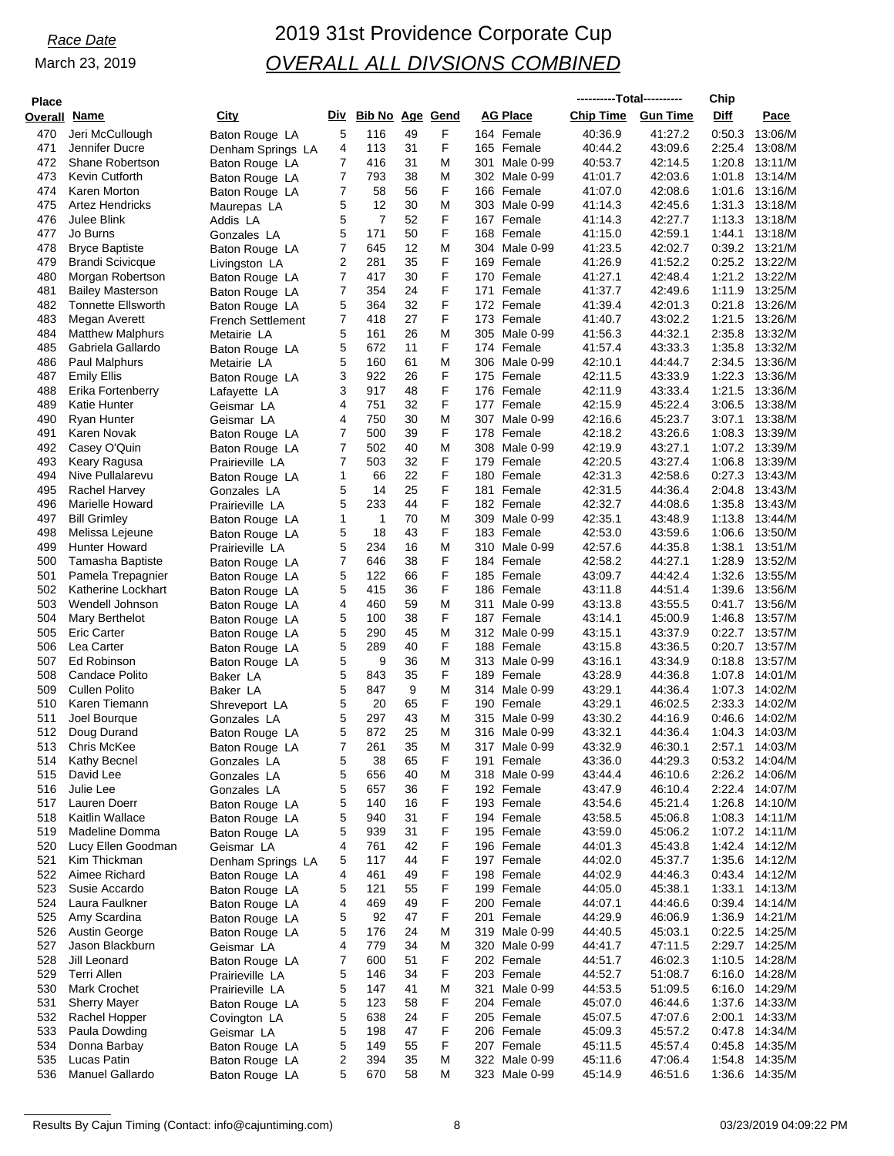# *Race Date* 2019 31st Providence Corporate Cup *OVERALL ALL DIVSIONS COMBINED*

| <b>Place</b> |                                             |                                   |                |                        |          |        |                                | ----------Total---------- |                    | Chip             |                           |
|--------------|---------------------------------------------|-----------------------------------|----------------|------------------------|----------|--------|--------------------------------|---------------------------|--------------------|------------------|---------------------------|
| Overall      | <u>Name</u>                                 | City                              | Div            | <b>Bib No Age Gend</b> |          |        | <b>AG Place</b>                | <b>Chip Time</b>          | <b>Gun Time</b>    | Diff             | Pace                      |
| 470          | Jeri McCullough                             | Baton Rouge LA                    | 5              | 116                    | 49       | F      | 164 Female                     | 40:36.9                   | 41:27.2            | 0:50.3           | 13:06/M                   |
| 471          | Jennifer Ducre                              | Denham Springs LA                 | 4              | 113                    | 31       | F      | 165 Female                     | 40:44.2                   | 43.09.6            | 2:25.4           | 13:08/M                   |
| 472<br>473   | <b>Shane Robertson</b><br>Kevin Cutforth    | Baton Rouge LA<br>Baton Rouge LA  | 7<br>7         | 416<br>793             | 31<br>38 | M<br>M | 301 Male 0-99<br>302 Male 0-99 | 40:53.7<br>41:01.7        | 42:14.5<br>42:03.6 | 1:20.8<br>1:01.8 | 13:11/M<br>13:14/M        |
| 474          | Karen Morton                                | Baton Rouge LA                    | $\overline{7}$ | 58                     | 56       | F      | 166 Female                     | 41:07.0                   | 42:08.6            | 1:01.6           | 13:16/M                   |
| 475          | <b>Artez Hendricks</b>                      | Maurepas LA                       | 5              | 12                     | 30       | M      | 303 Male 0-99                  | 41:14.3                   | 42:45.6            | 1:31.3           | 13:18/M                   |
| 476          | Julee Blink                                 | Addis LA                          | 5              | $\overline{7}$         | 52       | F      | 167 Female                     | 41:14.3                   | 42:27.7            | 1:13.3           | 13:18/M                   |
| 477          | Jo Burns                                    | Gonzales LA                       | 5              | 171                    | 50       | F      | 168 Female                     | 41:15.0                   | 42:59.1            | 1:44.1           | 13:18/M                   |
| 478          | <b>Bryce Baptiste</b>                       | Baton Rouge LA                    | 7              | 645<br>281             | 12<br>35 | Μ<br>F | 304 Male 0-99                  | 41:23.5<br>41:26.9        | 42:02.7<br>41:52.2 | 0.39.2<br>0.25.2 | 13:21/M<br>13:22/M        |
| 479<br>480   | <b>Brandi Scivicque</b><br>Morgan Robertson | Livingston LA<br>Baton Rouge LA   | 2<br>7         | 417                    | 30       | F      | 169 Female<br>170 Female       | 41:27.1                   | 42:48.4            | 1:21.2           | 13:22/M                   |
| 481          | <b>Bailey Masterson</b>                     | Baton Rouge LA                    | 7              | 354                    | 24       | F      | 171 Female                     | 41:37.7                   | 42:49.6            | 1:11.9           | 13:25/M                   |
| 482          | <b>Tonnette Ellsworth</b>                   | Baton Rouge LA                    | 5              | 364                    | 32       | F      | 172 Female                     | 41:39.4                   | 42:01.3            | 0.21.8           | 13:26/M                   |
| 483          | Megan Averett                               | <b>French Settlement</b>          | 7              | 418                    | 27       | F      | 173 Female                     | 41:40.7                   | 43:02.2            | 1:21.5           | 13:26/M                   |
| 484          | <b>Matthew Malphurs</b>                     | Metairie LA                       | 5              | 161                    | 26       | M      | 305 Male 0-99                  | 41:56.3                   | 44:32.1            | 2:35.8           | 13:32/M                   |
| 485<br>486   | Gabriela Gallardo<br>Paul Malphurs          | Baton Rouge LA                    | 5<br>5         | 672<br>160             | 11<br>61 | F<br>M | 174 Female<br>306 Male 0-99    | 41:57.4<br>42:10.1        | 43.33.3<br>44:44.7 | 1:35.8<br>2:34.5 | 13:32/M<br>13:36/M        |
| 487          | <b>Emily Ellis</b>                          | Metairie LA<br>Baton Rouge LA     | 3              | 922                    | 26       | F      | 175 Female                     | 42:11.5                   | 43.33.9            | 1:22.3           | 13:36/M                   |
| 488          | Erika Fortenberry                           | Lafayette LA                      | 3              | 917                    | 48       | F      | 176 Female                     | 42:11.9                   | 43:33.4            | 1:21.5           | 13:36/M                   |
| 489          | Katie Hunter                                | Geismar LA                        | 4              | 751                    | 32       | F      | 177 Female                     | 42:15.9                   | 45:22.4            | 3:06.5           | 13:38/M                   |
| 490          | Ryan Hunter                                 | Geismar LA                        | 4              | 750                    | 30       | M      | 307 Male 0-99                  | 42:16.6                   | 45:23.7            | 3:07.1           | 13:38/M                   |
| 491          | Karen Novak                                 | Baton Rouge LA                    | 7              | 500                    | 39       | F      | 178 Female                     | 42:18.2                   | 43:26.6            | 1:08.3           | 13:39/M                   |
| 492<br>493   | Casey O'Quin<br>Keary Ragusa                | Baton Rouge LA<br>Prairieville LA | 7<br>7         | 502<br>503             | 40<br>32 | M<br>F | 308 Male 0-99<br>179<br>Female | 42:19.9<br>42:20.5        | 43:27.1<br>43:27.4 | 1:07.2<br>1:06.8 | 13:39/M<br>13:39/M        |
| 494          | Nive Pullalarevu                            | Baton Rouge LA                    | 1              | 66                     | 22       | F      | 180 Female                     | 42:31.3                   | 42:58.6            | 0.27.3           | 13:43/M                   |
| 495          | Rachel Harvey                               | Gonzales LA                       | 5              | 14                     | 25       | F      | 181<br>Female                  | 42:31.5                   | 44.36.4            | 2:04.8           | 13:43/M                   |
| 496          | Marielle Howard                             | Prairieville LA                   | 5              | 233                    | 44       | F      | 182 Female                     | 42:32.7                   | 44:08.6            | 1:35.8           | 13:43/M                   |
| 497          | <b>Bill Grimley</b>                         | Baton Rouge LA                    | 1              | 1                      | 70       | M      | 309 Male 0-99                  | 42:35.1                   | 43:48.9            | 1:13.8           | 13:44/M                   |
| 498          | Melissa Lejeune                             | Baton Rouge LA                    | 5              | 18                     | 43       | F      | 183 Female                     | 42:53.0                   | 43.59.6            | 1:06.6           | 13:50/M                   |
| 499<br>500   | <b>Hunter Howard</b><br>Tamasha Baptiste    | Prairieville LA<br>Baton Rouge LA | 5<br>7         | 234<br>646             | 16<br>38 | M<br>F | 310 Male 0-99<br>184 Female    | 42:57.6<br>42:58.2        | 44.35.8<br>44:27.1 | 1:38.1<br>1:28.9 | 13:51/M<br>13:52/M        |
| 501          | Pamela Trepagnier                           | Baton Rouge LA                    | 5              | 122                    | 66       | F      | 185 Female                     | 43:09.7                   | 44:42.4            | 1:32.6           | 13:55/M                   |
| 502          | Katherine Lockhart                          | Baton Rouge LA                    | 5              | 415                    | 36       | F      | 186 Female                     | 43:11.8                   | 44:51.4            | 1:39.6           | 13:56/M                   |
| 503          | Wendell Johnson                             | Baton Rouge LA                    | 4              | 460                    | 59       | M      | 311<br>Male 0-99               | 43:13.8                   | 43:55.5            | 0:41.7           | 13:56/M                   |
| 504          | Mary Berthelot                              | Baton Rouge LA                    | 5              | 100                    | 38       | F      | 187 Female                     | 43:14.1                   | 45:00.9            | 1:46.8           | 13:57/M                   |
| 505          | <b>Eric Carter</b>                          | Baton Rouge LA                    | 5              | 290                    | 45       | M<br>F | 312 Male 0-99                  | 43:15.1                   | 43:37.9            | 0.22.7           | 13:57/M                   |
| 506<br>507   | Lea Carter<br>Ed Robinson                   | Baton Rouge LA<br>Baton Rouge LA  | 5<br>5         | 289<br>9               | 40<br>36 | M      | 188 Female<br>313 Male 0-99    | 43:15.8<br>43:16.1        | 43:36.5<br>43:34.9 | 0:20.7<br>0.18.8 | 13:57/M<br>13:57/M        |
| 508          | Candace Polito                              | Baker LA                          | 5              | 843                    | 35       | F      | 189 Female                     | 43:28.9                   | 44:36.8            | 1:07.8           | 14:01/M                   |
| 509          | <b>Cullen Polito</b>                        | Baker LA                          | 5              | 847                    | 9        | M      | 314 Male 0-99                  | 43:29.1                   | 44.36.4            | 1:07.3           | 14:02/M                   |
| 510          | Karen Tiemann                               | Shreveport LA                     | 5              | 20                     | 65       | F      | 190 Female                     | 43:29.1                   | 46:02.5            | 2:33.3           | 14:02/M                   |
| 511          | Joel Bourque                                | Gonzales LA                       | 5              | 297                    | 43       | M      | 315 Male 0-99                  | 43:30.2                   | 44:16.9            | 0.46.6           | 14:02/M                   |
| 512<br>513   | Doug Durand<br>Chris McKee                  | Baton Rouge LA                    | 5<br>7         | 872                    | 25<br>35 | M<br>M | 316 Male 0-99<br>317 Male 0-99 | 43:32.1<br>43:32.9        | 44:36.4            | 1:04.3<br>2:57.1 | 14:03/M<br>14:03/M        |
| 514          | Kathy Becnel                                | Baton Rouge LA<br>Gonzales LA     | 5              | 261<br>38              | 65       | F      | 191 Female                     | 43.36.0                   | 46:30.1<br>44.29.3 | 0:53.2           | 14:04/M                   |
| 515          | David Lee                                   | Gonzales LA                       | 5              | 656                    | 40       | M      | 318 Male 0-99                  | 43.44.4                   | 46:10.6            | 2:26.2           | 14:06/M                   |
| 516          | Julie Lee                                   | Gonzales LA                       | 5              | 657                    | 36       | F      | 192 Female                     | 43:47.9                   | 46:10.4            |                  | 2:22.4 14:07/M            |
| 517          | Lauren Doerr                                | Baton Rouge LA                    | 5              | 140                    | 16       | F      | 193 Female                     | 43.54.6                   | 45:21.4            | 1:26.8           | 14:10/M                   |
| 518          | <b>Kaitlin Wallace</b>                      | Baton Rouge LA                    | 5              | 940                    | 31       | F      | 194 Female                     | 43.58.5                   | 45:06.8            | 1:08.3           | 14:11/M                   |
| 519          | Madeline Domma                              | Baton Rouge LA                    | 5              | 939                    | 31       | F      | 195 Female                     | 43:59.0                   | 45:06.2            |                  | 1:07.2 14:11/M            |
| 520<br>521   | Lucy Ellen Goodman<br>Kim Thickman          | Geismar LA<br>Denham Springs LA   | 4<br>5         | 761<br>117             | 42<br>44 | F<br>F | 196 Female<br>197 Female       | 44:01.3<br>44:02.0        | 45:43.8<br>45:37.7 | 1:42.4           | 14:12/M<br>1:35.6 14:12/M |
| 522          | Aimee Richard                               | Baton Rouge LA                    | 4              | 461                    | 49       | F      | 198 Female                     | 44:02.9                   | 44.46.3            |                  | 0:43.4 14:12/M            |
| 523          | Susie Accardo                               | Baton Rouge LA                    | 5              | 121                    | 55       | F      | 199 Female                     | 44:05.0                   | 45:38.1            | 1:33.1           | 14:13/M                   |
| 524          | Laura Faulkner                              | Baton Rouge LA                    | 4              | 469                    | 49       | F      | 200 Female                     | 44:07.1                   | 44:46.6            | 0.39.4           | 14:14/M                   |
| 525          | Amy Scardina                                | Baton Rouge LA                    | 5              | 92                     | 47       | F      | 201 Female                     | 44.29.9                   | 46:06.9            | 1:36.9           | 14:21/M                   |
| 526          | Austin George                               | Baton Rouge LA                    | 5<br>4         | 176<br>779             | 24<br>34 | M<br>M | 319 Male 0-99                  | 44:40.5                   | 45:03.1            | 0:22.5           | 14:25/M<br>2:29.7 14:25/M |
| 527<br>528   | Jason Blackburn<br>Jill Leonard             | Geismar LA<br>Baton Rouge LA      | 7              | 600                    | 51       | F      | 320 Male 0-99<br>202 Female    | 44:41.7<br>44.51.7        | 47:11.5<br>46:02.3 | 1:10.5           | 14:28/M                   |
| 529          | <b>Terri Allen</b>                          | Prairieville LA                   | 5              | 146                    | 34       | F      | 203 Female                     | 44.52.7                   | 51:08.7            | 6:16.0           | 14:28/M                   |
| 530          | <b>Mark Crochet</b>                         | Prairieville LA                   | 5              | 147                    | 41       | M      | Male 0-99<br>321               | 44.53.5                   | 51:09.5            | 6:16.0           | 14:29/M                   |
| 531          | <b>Sherry Mayer</b>                         | Baton Rouge LA                    | 5              | 123                    | 58       | F      | 204 Female                     | 45:07.0                   | 46:44.6            | 1:37.6           | 14:33/M                   |
| 532          | Rachel Hopper                               | Covington LA                      | 5              | 638                    | 24       | F      | 205 Female                     | 45:07.5                   | 47:07.6            | 2:00.1           | 14:33/M                   |
| 533<br>534   | Paula Dowding<br>Donna Barbay               | Geismar LA                        | 5              | 198<br>149             | 47<br>55 | F<br>F | 206 Female<br>207 Female       | 45:09.3                   | 45:57.2<br>45.57.4 | 0.47.8<br>0.45.8 | 14:34/M<br>14:35/M        |
| 535          | Lucas Patin                                 | Baton Rouge LA<br>Baton Rouge LA  | 5<br>2         | 394                    | 35       | M      | 322 Male 0-99                  | 45:11.5<br>45:11.6        | 47:06.4            | 1:54.8           | 14:35/M                   |
| 536          | Manuel Gallardo                             | Baton Rouge LA                    | 5              | 670                    | 58       | Μ      | 323 Male 0-99                  | 45:14.9                   | 46:51.6            | 1:36.6           | 14:35/M                   |
|              |                                             |                                   |                |                        |          |        |                                |                           |                    |                  |                           |

Results By Cajun Timing (Contact: info@cajuntiming.com) 8 03/23/2019 04:09:22 PM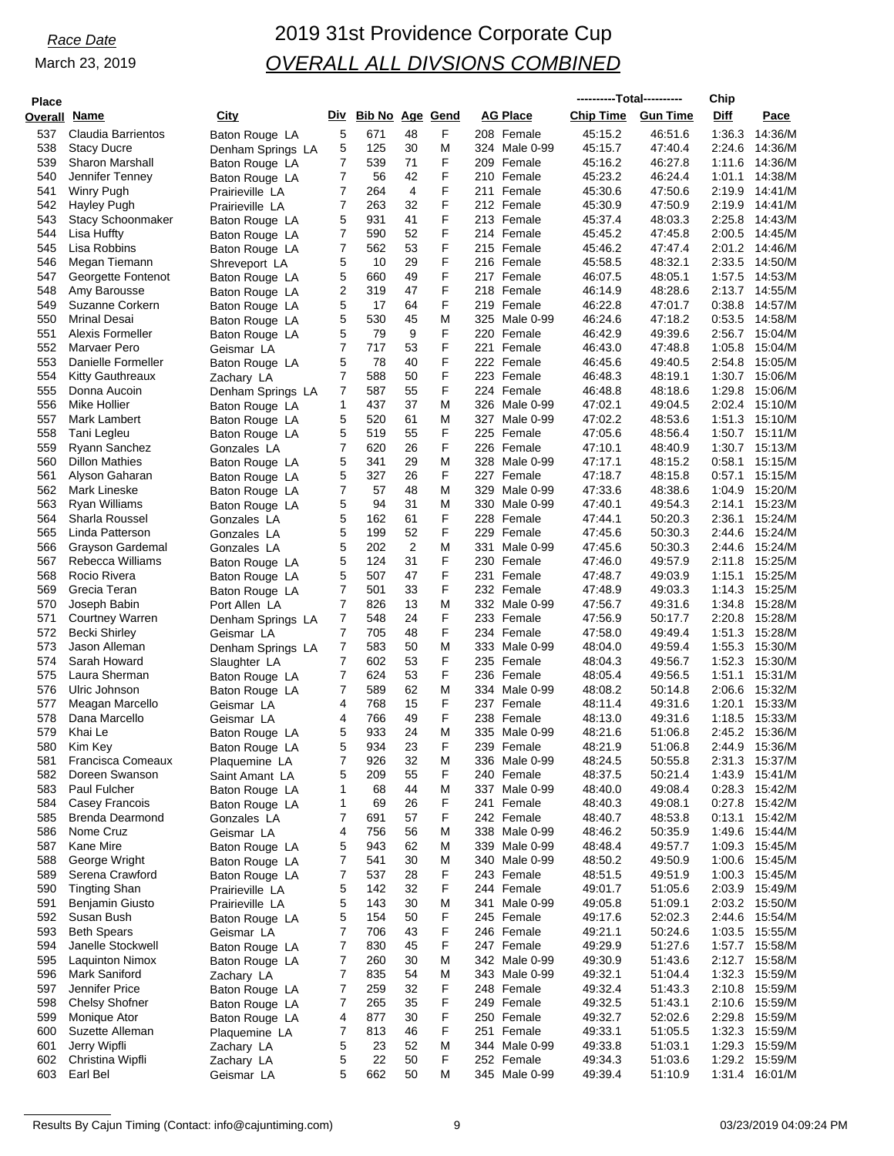# *Race Date* 2019 31st Providence Corporate Cup *OVERALL ALL DIVSIONS COMBINED*

| <b>Place</b> |                                         |                                    |                |                        |                |        |                             | ----------Total---------- |                    | Chip             |                           |
|--------------|-----------------------------------------|------------------------------------|----------------|------------------------|----------------|--------|-----------------------------|---------------------------|--------------------|------------------|---------------------------|
| Overall      | Name                                    | City                               | Div            | <b>Bib No Age Gend</b> |                |        | <b>AG Place</b>             | <b>Chip Time</b>          | <b>Gun Time</b>    | Diff             | Pace                      |
| 537          | <b>Claudia Barrientos</b>               | Baton Rouge LA                     | 5              | 671                    | 48             | F      | 208 Female                  | 45:15.2                   | 46:51.6            | 1:36.3           | 14:36/M                   |
| 538          | <b>Stacy Ducre</b>                      | Denham Springs LA                  | 5              | 125                    | 30             | M      | 324 Male 0-99               | 45:15.7                   | 47:40.4            | 2:24.6           | 14:36/M                   |
| 539<br>540   | <b>Sharon Marshall</b>                  | Baton Rouge LA                     | 7<br>7         | 539<br>56              | 71<br>42       | F<br>F | 209 Female<br>210 Female    | 45:16.2<br>45:23.2        | 46:27.8<br>46:24.4 | 1:11.6<br>1:01.1 | 14:36/M<br>14:38/M        |
| 541          | Jennifer Tenney<br>Winry Pugh           | Baton Rouge LA<br>Prairieville LA  | 7              | 264                    | $\overline{4}$ | F      | 211<br>Female               | 45:30.6                   | 47:50.6            | 2:19.9           | 14:41/M                   |
| 542          | Hayley Pugh                             | Prairieville LA                    | $\overline{7}$ | 263                    | 32             | F      | 212 Female                  | 45:30.9                   | 47:50.9            | 2:19.9           | 14:41/M                   |
| 543          | <b>Stacy Schoonmaker</b>                | Baton Rouge LA                     | 5              | 931                    | 41             | F      | 213 Female                  | 45:37.4                   | 48:03.3            | 2:25.8           | 14:43/M                   |
| 544          | Lisa Huffty                             | Baton Rouge LA                     | 7              | 590                    | 52             | F      | 214 Female                  | 45:45.2                   | 47:45.8            | 2:00.5           | 14:45/M                   |
| 545          | Lisa Robbins                            | Baton Rouge LA                     | 7              | 562                    | 53             | F      | 215 Female                  | 45:46.2                   | 47:47.4            | 2:01.2           | 14:46/M                   |
| 546<br>547   | Megan Tiemann<br>Georgette Fontenot     | Shreveport LA                      | 5<br>5         | 10<br>660              | 29<br>49       | F<br>F | 216 Female<br>217<br>Female | 45:58.5<br>46:07.5        | 48:32.1<br>48:05.1 | 2:33.5<br>1:57.5 | 14:50/M<br>14:53/M        |
| 548          | Amy Barousse                            | Baton Rouge LA<br>Baton Rouge LA   | 2              | 319                    | 47             | F      | 218 Female                  | 46:14.9                   | 48:28.6            | 2:13.7           | 14:55/M                   |
| 549          | Suzanne Corkern                         | Baton Rouge LA                     | 5              | 17                     | 64             | F      | 219<br>Female               | 46:22.8                   | 47:01.7            | 0.38.8           | 14:57/M                   |
| 550          | <b>Mrinal Desai</b>                     | Baton Rouge LA                     | 5              | 530                    | 45             | M      | 325 Male 0-99               | 46:24.6                   | 47:18.2            | 0:53.5           | 14:58/M                   |
| 551          | Alexis Formeller                        | Baton Rouge LA                     | 5              | 79                     | 9              | F      | 220<br>Female               | 46:42.9                   | 49:39.6            | 2:56.7           | 15:04/M                   |
| 552          | Marvaer Pero                            | Geismar LA                         | 7              | 717                    | 53             | F      | 221<br>Female               | 46:43.0                   | 47:48.8            | 1:05.8           | 15:04/M                   |
| 553<br>554   | Danielle Formeller<br>Kitty Gauthreaux  | Baton Rouge LA                     | 5<br>7         | 78<br>588              | 40<br>50       | F<br>F | 222 Female<br>223 Female    | 46:45.6<br>46:48.3        | 49:40.5<br>48:19.1 | 2:54.8<br>1:30.7 | 15:05/M<br>15:06/M        |
| 555          | Donna Aucoin                            | Zachary LA<br>Denham Springs LA    | 7              | 587                    | 55             | F      | 224 Female                  | 46:48.8                   | 48:18.6            | 1:29.8           | 15:06/M                   |
| 556          | Mike Hollier                            | Baton Rouge LA                     | 1              | 437                    | 37             | M      | 326 Male 0-99               | 47:02.1                   | 49:04.5            | 2:02.4           | 15:10/M                   |
| 557          | Mark Lambert                            | Baton Rouge LA                     | 5              | 520                    | 61             | M      | 327<br>Male 0-99            | 47:02.2                   | 48:53.6            | 1:51.3           | 15:10/M                   |
| 558          | Tani Legleu                             | Baton Rouge LA                     | 5              | 519                    | 55             | F      | 225 Female                  | 47:05.6                   | 48:56.4            | 1:50.7           | 15:11/M                   |
| 559          | Ryann Sanchez                           | Gonzales LA                        | 7              | 620                    | 26             | F      | 226 Female                  | 47:10.1                   | 48:40.9            | 1:30.7           | 15:13/M                   |
| 560          | <b>Dillon Mathies</b>                   | Baton Rouge LA                     | 5              | 341                    | 29             | M      | 328 Male 0-99               | 47:17.1                   | 48:15.2            | 0:58.1           | 15:15/M                   |
| 561<br>562   | Alyson Gaharan<br>Mark Lineske          | Baton Rouge LA                     | 5<br>7         | 327<br>57              | 26<br>48       | F<br>M | 227 Female<br>329 Male 0-99 | 47:18.7<br>47:33.6        | 48:15.8<br>48:38.6 | 0:57.1<br>1:04.9 | 15:15/M<br>15:20/M        |
| 563          | Ryan Williams                           | Baton Rouge LA<br>Baton Rouge LA   | 5              | 94                     | 31             | M      | 330<br>Male 0-99            | 47:40.1                   | 49:54.3            | 2:14.1           | 15:23/M                   |
| 564          | Sharla Roussel                          | Gonzales LA                        | 5              | 162                    | 61             | F      | 228 Female                  | 47:44.1                   | 50:20.3            | 2:36.1           | 15:24/M                   |
| 565          | Linda Patterson                         | Gonzales LA                        | 5              | 199                    | 52             | F      | 229<br>Female               | 47:45.6                   | 50:30.3            | 2:44.6           | 15:24/M                   |
| 566          | Grayson Gardemal                        | Gonzales LA                        | 5              | 202                    | 2              | M      | 331<br>Male 0-99            | 47:45.6                   | 50:30.3            | 2:44.6           | 15:24/M                   |
| 567          | Rebecca Williams                        | Baton Rouge LA                     | 5              | 124                    | 31             | F      | 230 Female                  | 47:46.0                   | 49.57.9            | 2:11.8           | 15:25/M                   |
| 568          | Rocio Rivera                            | Baton Rouge LA                     | 5              | 507                    | 47             | F      | 231<br>Female               | 47:48.7                   | 49:03.9            | 1:15.1           | 15:25/M                   |
| 569<br>570   | Grecia Teran                            | Baton Rouge LA                     | 7<br>7         | 501<br>826             | 33<br>13       | F<br>M | 232 Female<br>332 Male 0-99 | 47:48.9                   | 49:03.3            | 1:14.3<br>1:34.8 | 15:25/M<br>15:28/M        |
| 571          | Joseph Babin<br><b>Courtney Warren</b>  | Port Allen LA<br>Denham Springs LA | 7              | 548                    | 24             | F      | 233 Female                  | 47:56.7<br>47:56.9        | 49:31.6<br>50:17.7 | 2:20.8           | 15:28/M                   |
| 572          | Becki Shirley                           | Geismar LA                         | 7              | 705                    | 48             | F      | 234 Female                  | 47:58.0                   | 49:49.4            | 1:51.3           | 15:28/M                   |
| 573          | Jason Alleman                           | Denham Springs LA                  | 7              | 583                    | 50             | M      | 333 Male 0-99               | 48:04.0                   | 49.59.4            | 1:55.3           | 15:30/M                   |
| 574          | Sarah Howard                            | Slaughter LA                       | $\overline{7}$ | 602                    | 53             | F      | 235 Female                  | 48:04.3                   | 49:56.7            | 1:52.3           | 15:30/M                   |
| 575          | Laura Sherman                           | Baton Rouge LA                     | 7              | 624                    | 53             | F      | 236 Female                  | 48:05.4                   | 49:56.5            | 1:51.1           | 15:31/M                   |
| 576          | Ulric Johnson                           | Baton Rouge LA                     | 7              | 589                    | 62             | M      | 334 Male 0-99               | 48:08.2                   | 50:14.8            | 2:06.6           | 15:32/M                   |
| 577<br>578   | Meagan Marcello<br>Dana Marcello        | Geismar LA                         | 4<br>4         | 768<br>766             | 15<br>49       | F<br>F | 237 Female<br>238<br>Female | 48:11.4<br>48:13.0        | 49:31.6<br>49:31.6 | 1:20.1<br>1:18.5 | 15:33/M<br>15:33/M        |
| 579          | Khai Le                                 | Geismar LA<br>Baton Rouge LA       | 5              | 933                    | 24             | M      | 335 Male 0-99               | 48:21.6                   | 51:06.8            |                  | 2:45.2 15:36/M            |
| 580          | Kim Key                                 | Baton Rouge LA                     | 5              | 934                    | 23             | F      | 239 Female                  | 48:21.9                   | 51:06.8            | 2:44.9           | 15:36/M                   |
| 581          | Francisca Comeaux                       | Plaquemine LA                      | 7              | 926                    | 32             | M      | 336 Male 0-99               | 48:24.5                   | 50:55.8            | 2:31.3           | 15:37/M                   |
| 582          | Doreen Swanson                          | Saint Amant LA                     | 5              | 209                    | 55             | F      | 240 Female                  | 48.37.5                   | 50:21.4            | 1:43.9           | 15:41/M                   |
| 583          | Paul Fulcher                            | Baton Rouge LA                     | 1              | 68                     | 44             | M      | 337 Male 0-99               | 48:40.0                   | 49:08.4            | 0.28.3           | 15:42/M                   |
| 584          | <b>Casey Francois</b>                   | Baton Rouge LA                     | 1              | 69                     | 26             | F      | 241<br>Female               | 48:40.3                   | 49:08.1            | 0:27.8           | 15:42/M                   |
| 585<br>586   | <b>Brenda Dearmond</b><br>Nome Cruz     | Gonzales LA<br>Geismar LA          | 7<br>4         | 691<br>756             | 57<br>56       | F<br>M | 242 Female<br>338 Male 0-99 | 48:40.7<br>48:46.2        | 48:53.8<br>50:35.9 | 0:13.1<br>1:49.6 | 15:42/M<br>15:44/M        |
| 587          | Kane Mire                               | Baton Rouge LA                     | 5              | 943                    | 62             | M      | 339 Male 0-99               | 48:48.4                   | 49:57.7            | 1:09.3           | 15:45/M                   |
| 588          | George Wright                           | Baton Rouge LA                     | 7              | 541                    | 30             | M      | 340 Male 0-99               | 48:50.2                   | 49:50.9            |                  | 1:00.6 15:45/M            |
| 589          | Serena Crawford                         | Baton Rouge LA                     | 7              | 537                    | 28             | F      | 243 Female                  | 48:51.5                   | 49.51.9            |                  | 1:00.3 15:45/M            |
| 590          | <b>Tingting Shan</b>                    | Prairieville LA                    | 5              | 142                    | 32             | F      | 244 Female                  | 49:01.7                   | 51:05.6            | 2:03.9           | 15:49/M                   |
| 591          | Benjamin Giusto                         | Prairieville LA                    | 5              | 143                    | 30             | M      | 341<br>Male 0-99            | 49:05.8                   | 51:09.1            |                  | 2:03.2 15:50/M            |
| 592          | Susan Bush                              | Baton Rouge LA                     | 5              | 154                    | 50             | F      | 245 Female                  | 49:17.6                   | 52:02.3            | 2:44.6           | 15:54/M                   |
| 593<br>594   | <b>Beth Spears</b><br>Janelle Stockwell | Geismar LA<br>Baton Rouge LA       | 7<br>7         | 706<br>830             | 43<br>45       | F<br>F | 246 Female<br>247 Female    | 49:21.1<br>49:29.9        | 50:24.6<br>51:27.6 | 1:57.7           | 1:03.5 15:55/M<br>15:58/M |
| 595          | <b>Laquinton Nimox</b>                  | Baton Rouge LA                     | 7              | 260                    | 30             | M      | 342 Male 0-99               | 49:30.9                   | 51:43.6            | 2:12.7           | 15:58/M                   |
| 596          | Mark Saniford                           | Zachary LA                         | 7              | 835                    | 54             | M      | 343 Male 0-99               | 49:32.1                   | 51:04.4            | 1:32.3           | 15:59/M                   |
| 597          | Jennifer Price                          | Baton Rouge LA                     | 7              | 259                    | 32             | F      | 248 Female                  | 49:32.4                   | 51:43.3            | 2:10.8           | 15:59/M                   |
| 598          | <b>Chelsy Shofner</b>                   | Baton Rouge LA                     | 7              | 265                    | 35             | F      | 249 Female                  | 49:32.5                   | 51:43.1            |                  | 2:10.6 15:59/M            |
| 599          | Monique Ator                            | Baton Rouge LA                     | 4              | 877                    | 30             | F      | 250 Female                  | 49:32.7                   | 52:02.6            | 2:29.8           | 15:59/M                   |
| 600          | Suzette Alleman                         | Plaquemine LA                      | 7              | 813                    | 46             | F      | 251 Female                  | 49:33.1                   | 51:05.5            | 1:32.3           | 15:59/M                   |
| 601<br>602   | Jerry Wipfli<br>Christina Wipfli        | Zachary LA                         | 5<br>5         | 23<br>22               | 52<br>50       | M<br>F | 344 Male 0-99<br>252 Female | 49:33.8                   | 51:03.1            | 1:29.2           | 1:29.3 15:59/M<br>15:59/M |
| 603          | Earl Bel                                | Zachary LA<br>Geismar LA           | 5              | 662                    | 50             | M      | 345 Male 0-99               | 49:34.3<br>49:39.4        | 51:03.6<br>51:10.9 | 1:31.4           | 16:01/M                   |
|              |                                         |                                    |                |                        |                |        |                             |                           |                    |                  |                           |

Results By Cajun Timing (Contact: info@cajuntiming.com) 9 03/23/2019 04:09:24 PM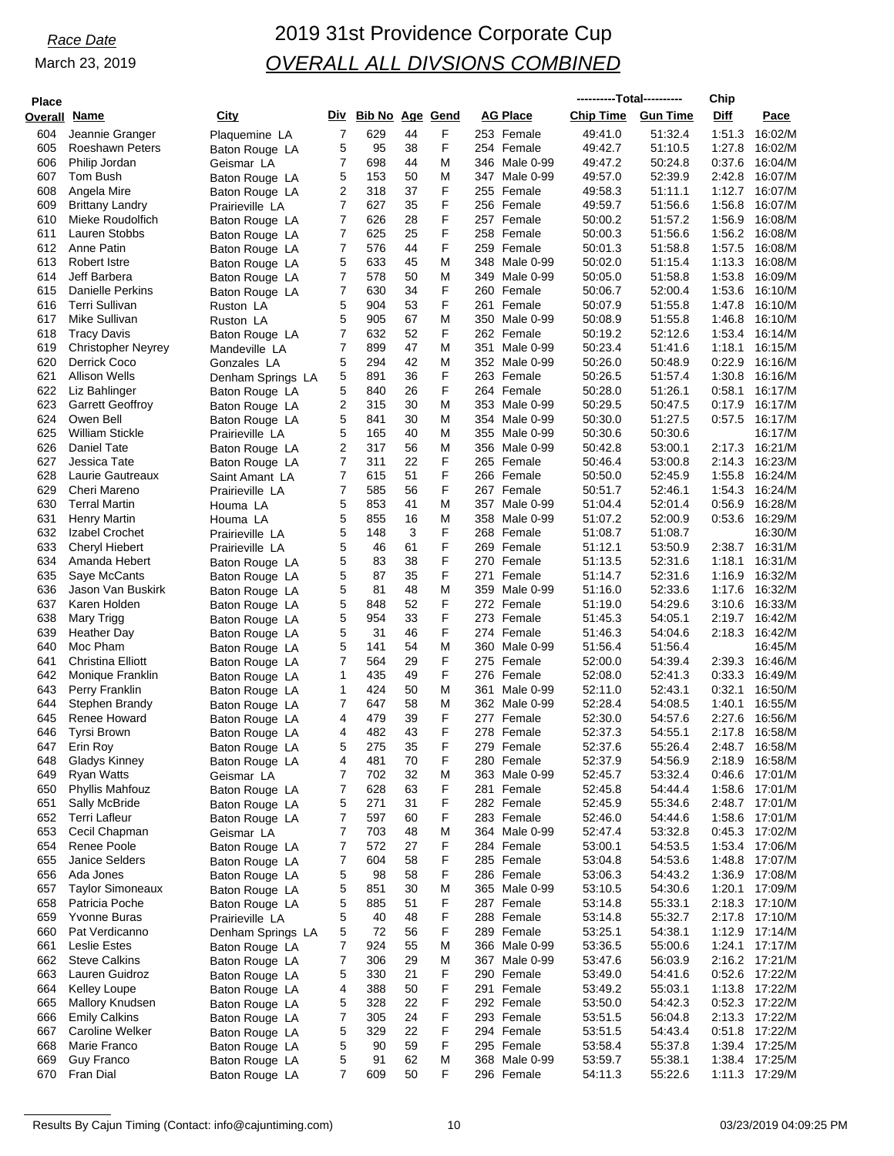| <b>Place</b> |                                         |                                      |                     |                        |          |        |                                | ----------Total---------- |                    | Chip             |                           |
|--------------|-----------------------------------------|--------------------------------------|---------------------|------------------------|----------|--------|--------------------------------|---------------------------|--------------------|------------------|---------------------------|
| Overall      | <u>Name</u>                             | City                                 | Div                 | <b>Bib No Age Gend</b> |          |        | <b>AG Place</b>                | <b>Chip Time</b>          | <b>Gun Time</b>    | Diff             | Pace                      |
| 604          | Jeannie Granger                         | Plaquemine LA                        | 7                   | 629                    | 44       | F      | 253 Female                     | 49:41.0                   | 51:32.4            | 1:51.3           | 16:02/M                   |
| 605          | <b>Roeshawn Peters</b>                  | Baton Rouge LA                       | 5                   | 95                     | 38       | F      | 254 Female                     | 49:42.7                   | 51:10.5            | 1:27.8           | 16:02/M                   |
| 606          | Philip Jordan                           | Geismar LA                           | 7                   | 698                    | 44       | M      | 346 Male 0-99                  | 49:47.2                   | 50:24.8<br>52:39.9 | 0:37.6           | 16:04/M                   |
| 607<br>608   | Tom Bush<br>Angela Mire                 | Baton Rouge LA<br>Baton Rouge LA     | 5<br>2              | 153<br>318             | 50<br>37 | M<br>F | 347 Male 0-99<br>255 Female    | 49:57.0<br>49:58.3        | 51:11.1            | 2:42.8<br>1:12.7 | 16:07/M<br>16:07/M        |
| 609          | <b>Brittany Landry</b>                  | Prairieville LA                      | 7                   | 627                    | 35       | F      | 256 Female                     | 49:59.7                   | 51:56.6            | 1:56.8           | 16:07/M                   |
| 610          | Mieke Roudolfich                        | Baton Rouge LA                       | 7                   | 626                    | 28       | F      | 257 Female                     | 50:00.2                   | 51:57.2            | 1:56.9           | 16:08/M                   |
| 611          | Lauren Stobbs                           | Baton Rouge LA                       | 7                   | 625                    | 25       | F      | 258 Female                     | 50:00.3                   | 51:56.6            | 1:56.2           | 16:08/M                   |
| 612          | Anne Patin                              | Baton Rouge LA                       | 7                   | 576                    | 44       | F      | 259 Female                     | 50:01.3                   | 51:58.8            | 1:57.5           | 16:08/M                   |
| 613          | Robert Istre                            | Baton Rouge LA                       | 5                   | 633                    | 45       | M      | 348 Male 0-99                  | 50:02.0                   | 51:15.4            | 1:13.3           | 16:08/M<br>16:09/M        |
| 614<br>615   | Jeff Barbera<br><b>Danielle Perkins</b> | Baton Rouge LA<br>Baton Rouge LA     | 7<br>7              | 578<br>630             | 50<br>34 | M<br>F | 349 Male 0-99<br>260 Female    | 50:05.0<br>50:06.7        | 51:58.8<br>52:00.4 | 1:53.8<br>1:53.6 | 16:10/M                   |
| 616          | <b>Terri Sullivan</b>                   | Ruston LA                            | 5                   | 904                    | 53       | F      | 261 Female                     | 50:07.9                   | 51:55.8            | 1:47.8           | 16:10/M                   |
| 617          | Mike Sullivan                           | Ruston LA                            | 5                   | 905                    | 67       | M      | 350 Male 0-99                  | 50:08.9                   | 51:55.8            | 1:46.8           | 16:10/M                   |
| 618          | <b>Tracy Davis</b>                      | Baton Rouge LA                       | 7                   | 632                    | 52       | F      | 262 Female                     | 50:19.2                   | 52:12.6            | 1:53.4           | 16:14/M                   |
| 619          | <b>Christopher Neyrey</b>               | Mandeville LA                        | 7                   | 899                    | 47       | M      | 351<br>Male 0-99               | 50:23.4                   | 51:41.6            | 1:18.1           | 16:15/M                   |
| 620          | <b>Derrick Coco</b>                     | Gonzales LA                          | 5                   | 294                    | 42       | M<br>F | 352 Male 0-99                  | 50:26.0                   | 50:48.9            | 0:22.9<br>1:30.8 | 16:16/M                   |
| 621<br>622   | <b>Allison Wells</b><br>Liz Bahlinger   | Denham Springs LA<br>Baton Rouge LA  | 5<br>5              | 891<br>840             | 36<br>26 | F      | 263 Female<br>264 Female       | 50:26.5<br>50:28.0        | 51:57.4<br>51:26.1 | 0:58.1           | 16:16/M<br>16:17/M        |
| 623          | <b>Garrett Geoffroy</b>                 | Baton Rouge LA                       | 2                   | 315                    | 30       | M      | 353 Male 0-99                  | 50:29.5                   | 50:47.5            | 0:17.9           | 16:17/M                   |
| 624          | Owen Bell                               | Baton Rouge LA                       | 5                   | 841                    | 30       | M      | 354 Male 0-99                  | 50:30.0                   | 51:27.5            | 0:57.5           | 16:17/M                   |
| 625          | <b>William Stickle</b>                  | Prairieville LA                      | 5                   | 165                    | 40       | M      | 355 Male 0-99                  | 50:30.6                   | 50:30.6            |                  | 16:17/M                   |
| 626          | <b>Daniel Tate</b>                      | Baton Rouge LA                       | 2                   | 317                    | 56       | M      | 356 Male 0-99                  | 50:42.8                   | 53:00.1            | 2:17.3           | 16:21/M                   |
| 627          | Jessica Tate                            | Baton Rouge LA                       | 7                   | 311                    | 22       | F      | 265 Female                     | 50:46.4                   | 53:00.8            | 2:14.3           | 16:23/M                   |
| 628          | Laurie Gautreaux<br>Cheri Mareno        | Saint Amant LA                       | 7                   | 615                    | 51       | F<br>F | 266 Female                     | 50:50.0                   | 52:45.9            | 1:55.8           | 16:24/M                   |
| 629<br>630   | <b>Terral Martin</b>                    | Prairieville LA<br>Houma LA          | $\overline{7}$<br>5 | 585<br>853             | 56<br>41 | M      | 267 Female<br>357<br>Male 0-99 | 50:51.7<br>51:04.4        | 52:46.1<br>52:01.4 | 1:54.3<br>0:56.9 | 16:24/M<br>16:28/M        |
| 631          | Henry Martin                            | Houma LA                             | 5                   | 855                    | 16       | M      | 358 Male 0-99                  | 51:07.2                   | 52:00.9            | 0.53.6           | 16:29/M                   |
| 632          | Izabel Crochet                          | Prairieville LA                      | 5                   | 148                    | 3        | F      | 268 Female                     | 51:08.7                   | 51:08.7            |                  | 16:30/M                   |
| 633          | <b>Cheryl Hiebert</b>                   | Prairieville LA                      | 5                   | 46                     | 61       | F      | 269 Female                     | 51:12.1                   | 53:50.9            | 2:38.7           | 16:31/M                   |
| 634          | Amanda Hebert                           | Baton Rouge LA                       | 5                   | 83                     | 38       | F      | 270 Female                     | 51:13.5                   | 52:31.6            | 1:18.1           | 16:31/M                   |
| 635          | Saye McCants                            | Baton Rouge LA                       | 5                   | 87                     | 35       | F      | 271<br>Female                  | 51:14.7                   | 52:31.6            | 1:16.9           | 16:32/M                   |
| 636          | Jason Van Buskirk                       | Baton Rouge LA                       | 5                   | 81                     | 48       | M<br>F | 359 Male 0-99                  | 51:16.0                   | 52:33.6            | 1:17.6           | 16:32/M                   |
| 637<br>638   | Karen Holden<br>Mary Trigg              | Baton Rouge LA<br>Baton Rouge LA     | 5<br>5              | 848<br>954             | 52<br>33 | F      | 272 Female<br>273 Female       | 51:19.0<br>51:45.3        | 54:29.6<br>54:05.1 | 3:10.6<br>2:19.7 | 16:33/M<br>16:42/M        |
| 639          | <b>Heather Day</b>                      | Baton Rouge LA                       | 5                   | 31                     | 46       | F      | 274 Female                     | 51:46.3                   | 54:04.6            | 2:18.3           | 16:42/M                   |
| 640          | Moc Pham                                | Baton Rouge LA                       | 5                   | 141                    | 54       | M      | 360 Male 0-99                  | 51:56.4                   | 51:56.4            |                  | 16:45/M                   |
| 641          | Christina Elliott                       | Baton Rouge LA                       | 7                   | 564                    | 29       | F      | 275 Female                     | 52:00.0                   | 54:39.4            | 2:39.3           | 16:46/M                   |
| 642          | Monique Franklin                        | Baton Rouge LA                       | 1                   | 435                    | 49       | F      | 276 Female                     | 52:08.0                   | 52:41.3            | 0:33.3           | 16:49/M                   |
| 643          | Perry Franklin                          | Baton Rouge LA                       | 1                   | 424                    | 50       | M      | 361<br>Male 0-99               | 52:11.0                   | 52:43.1            | 0:32.1           | 16:50/M                   |
| 644<br>645   | Stephen Brandy<br>Renee Howard          | Baton Rouge LA                       | 7<br>4              | 647<br>479             | 58<br>39 | M<br>F | 362 Male 0-99<br>277 Female    | 52:28.4<br>52:30.0        | 54:08.5<br>54:57.6 | 1:40.1<br>2:27.6 | 16:55/M<br>16:56/M        |
| 646          | <b>Tyrsi Brown</b>                      | Baton Rouge LA<br>Baton Rouge LA     | 4                   | 482                    | 43       | F      | 278 Female                     | 52:37.3                   | 54:55.1            | 2:17.8           | 16:58/M                   |
| 647          | Erin Roy                                | Baton Rouge LA                       | 5                   | 275                    | 35       | F      | 279 Female                     | 52:37.6                   | 55:26.4            | 2:48.7           | 16:58/M                   |
| 648          | <b>Gladys Kinney</b>                    | Baton Rouge LA                       | 4                   | 481                    | 70       | F      | 280 Female                     | 52:37.9                   | 54.56.9            | 2:18.9           | 16:58/M                   |
| 649          | Ryan Watts                              | Geismar LA                           | 7                   | 702                    | 32       | M      | 363 Male 0-99                  | 52:45.7                   | 53.32.4            |                  | 0:46.6 17:01/M            |
| 650          | Phyllis Mahfouz                         | Baton Rouge LA                       | 7                   | 628                    | 63       | F      | 281 Female                     | 52:45.8                   | 54:44.4            |                  | 1:58.6 17:01/M            |
| 651          | Sally McBride                           | Baton Rouge LA                       | 5                   | 271                    | 31       | F<br>F | 282 Female                     | 52:45.9                   | 55:34.6            |                  | 2:48.7 17:01/M            |
| 652<br>653   | <b>Terri Lafleur</b><br>Cecil Chapman   | Baton Rouge LA<br>Geismar LA         | 7<br>7              | 597<br>703             | 60<br>48 | M      | 283 Female<br>364 Male 0-99    | 52:46.0<br>52:47.4        | 54:44.6<br>53.32.8 | 0.45.3           | 1:58.6 17:01/M<br>17:02/M |
| 654          | Renee Poole                             | Baton Rouge LA                       | 7                   | 572                    | 27       | F      | 284 Female                     | 53:00.1                   | 54.53.5            | 1:53.4           | 17:06/M                   |
| 655          | <b>Janice Selders</b>                   | Baton Rouge LA                       | 7                   | 604                    | 58       | F      | 285 Female                     | 53:04.8                   | 54.53.6            | 1:48.8           | 17:07/M                   |
| 656          | Ada Jones                               | Baton Rouge LA                       | 5                   | 98                     | 58       | F      | 286 Female                     | 53:06.3                   | 54:43.2            | 1:36.9           | 17:08/M                   |
| 657          | <b>Taylor Simoneaux</b>                 | Baton Rouge LA                       | 5                   | 851                    | 30       | M      | 365 Male 0-99                  | 53:10.5                   | 54:30.6            | 1:20.1           | 17:09/M                   |
| 658          | Patricia Poche                          | Baton Rouge LA                       | 5                   | 885                    | 51       | F      | 287 Female                     | 53:14.8                   | 55:33.1            |                  | 2:18.3 17:10/M            |
| 659<br>660   | <b>Yvonne Buras</b><br>Pat Verdicanno   | Prairieville LA<br>Denham Springs LA | 5<br>5              | 40<br>72               | 48<br>56 | F<br>F | 288 Female<br>289 Female       | 53:14.8<br>53:25.1        | 55:32.7<br>54:38.1 | 2:17.8           | 17:10/M<br>1:12.9 17:14/M |
| 661          | <b>Leslie Estes</b>                     | Baton Rouge LA                       | 7                   | 924                    | 55       | M      | 366 Male 0-99                  | 53:36.5                   | 55:00.6            | 1:24.1           | 17:17/M                   |
| 662          | <b>Steve Calkins</b>                    | Baton Rouge LA                       | 7                   | 306                    | 29       | M      | 367 Male 0-99                  | 53:47.6                   | 56:03.9            |                  | 2:16.2 17:21/M            |
| 663          | Lauren Guidroz                          | Baton Rouge LA                       | 5                   | 330                    | 21       | F      | 290 Female                     | 53:49.0                   | 54:41.6            | 0.52.6           | 17:22/M                   |
| 664          | <b>Kelley Loupe</b>                     | Baton Rouge LA                       | 4                   | 388                    | 50       | F      | 291 Female                     | 53:49.2                   | 55:03.1            | 1:13.8           | 17:22/M                   |
| 665          | Mallory Knudsen                         | Baton Rouge LA                       | 5                   | 328                    | 22       | F      | 292 Female                     | 53:50.0                   | 54:42.3            |                  | 0:52.3 17:22/M            |
| 666          | <b>Emily Calkins</b>                    | Baton Rouge LA                       | 7                   | 305                    | 24       | F      | 293 Female                     | 53:51.5                   | 56:04.8            |                  | 2:13.3 17:22/M            |
| 667<br>668   | Caroline Welker<br>Marie Franco         | Baton Rouge LA<br>Baton Rouge LA     | 5<br>5              | 329<br>90              | 22<br>59 | F<br>F | 294 Female<br>295 Female       | 53:51.5<br>53:58.4        | 54:43.4<br>55:37.8 | 0.51.8           | 17:22/M<br>1:39.4 17:25/M |
| 669          | <b>Guy Franco</b>                       | Baton Rouge LA                       | 5                   | 91                     | 62       | M      | 368 Male 0-99                  | 53:59.7                   | 55:38.1            | 1:38.4           | 17:25/M                   |
| 670          | Fran Dial                               | Baton Rouge LA                       | $\overline{7}$      | 609                    | 50       | F      | 296 Female                     | 54:11.3                   | 55:22.6            |                  | 1:11.3 17:29/M            |
|              |                                         |                                      |                     |                        |          |        |                                |                           |                    |                  |                           |